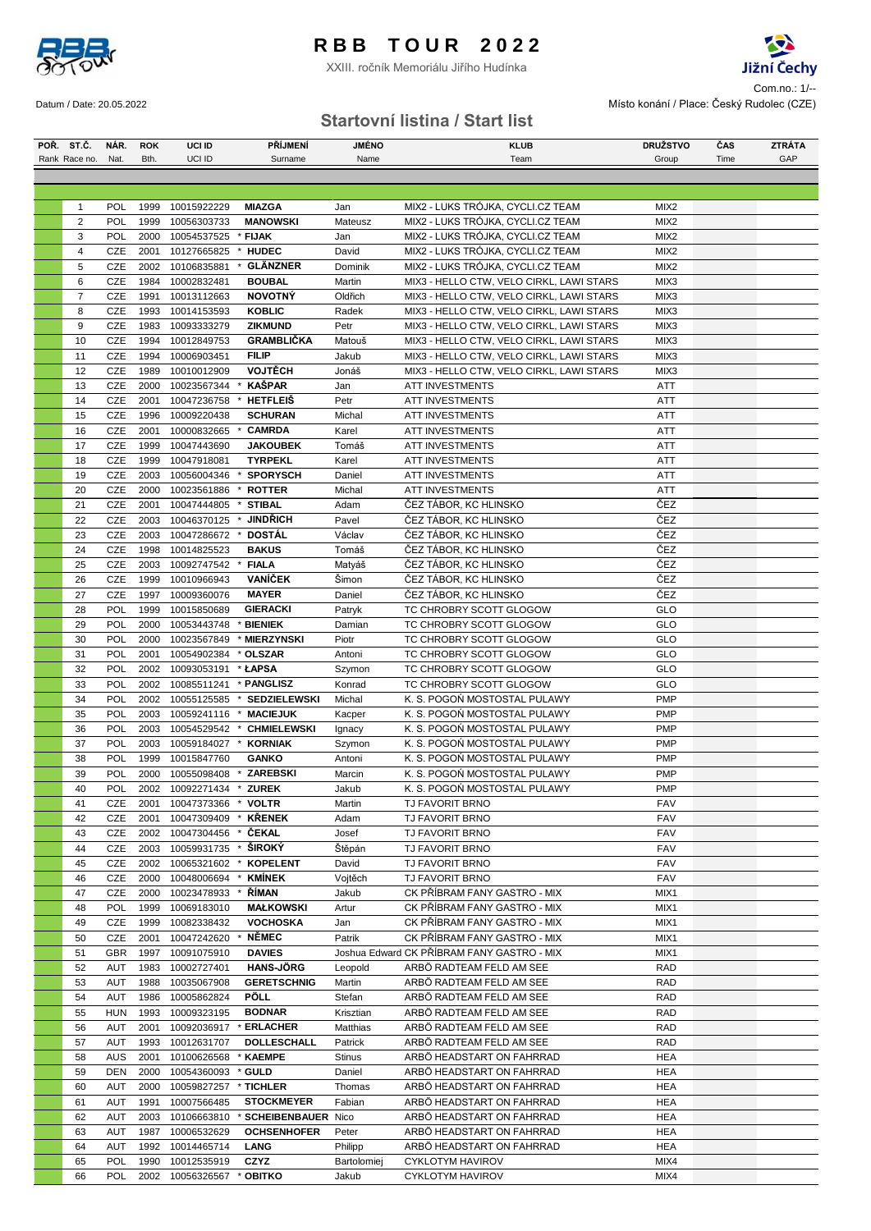

XXIII. ročník Memoriálu Jiřího Hudínka



 $S<sub>1</sub>$  Com.no.: 1/--Datum / Date: 20.05.2022 Místo konání / Place: Český Rudolec (CZE)

### **Startovní listina / Start list**

| POR. ST.C.     | NAR.       | <b>ROK</b> | UCI ID                                  | <b>PRIJMENI</b>            | <b>JMENO</b>    | <b>KLUB</b>                                | <b>DRUŽSTVO</b>  | ĈAS  | <b>ZTRATA</b> |
|----------------|------------|------------|-----------------------------------------|----------------------------|-----------------|--------------------------------------------|------------------|------|---------------|
| Rank Race no.  | Nat.       | Bth.       | UCI ID                                  | Surname                    | Name            | Team                                       | Group            | Time | GAP           |
|                |            |            |                                         |                            |                 |                                            |                  |      |               |
|                |            |            |                                         |                            |                 |                                            |                  |      |               |
| 1              | <b>POL</b> | 1999       | 10015922229                             | <b>MIAZGA</b>              | Jan             | MIX2 - LUKS TRÓJKA, CYCLI.CZ TEAM          | MIX <sub>2</sub> |      |               |
| $\overline{2}$ | <b>POL</b> | 1999       | 10056303733                             | <b>MANOWSKI</b>            | Mateusz         | MIX2 - LUKS TRÓJKA, CYCLI.CZ TEAM          | MIX <sub>2</sub> |      |               |
| 3              | POL        | 2000       | 10054537525                             | * FIJAK                    | Jan             | MIX2 - LUKS TRÓJKA, CYCLI.CZ TEAM          | MIX <sub>2</sub> |      |               |
| 4              | CZE        | 2001       | 10127665825                             | <b>HUDEC</b>               | David           | MIX2 - LUKS TRÓJKA, CYCLI.CZ TEAM          | MIX <sub>2</sub> |      |               |
| 5              | CZE        | 2002       | 10106835881                             | <b>GLÄNZNER</b><br>*       | Dominik         | MIX2 - LUKS TRÓJKA, CYCLI.CZ TEAM          | MIX <sub>2</sub> |      |               |
| 6              | CZE        | 1984       | 10002832481                             | <b>BOUBAL</b>              | Martin          | MIX3 - HELLO CTW, VELO CIRKL, LAWI STARS   | MIX3             |      |               |
| $\overline{7}$ | CZE        | 1991       | 10013112663                             | <b>NOVOTNÝ</b>             | Oldřich         | MIX3 - HELLO CTW, VELO CIRKL, LAWI STARS   | MIX3             |      |               |
| 8              | CZE        | 1993       | 10014153593                             | <b>KOBLIC</b>              | Radek           |                                            | MIX3             |      |               |
| 9              | CZE        | 1983       |                                         | <b>ZIKMUND</b>             | Petr            | MIX3 - HELLO CTW, VELO CIRKL, LAWI STARS   | MIX3             |      |               |
|                |            |            | 10093333279                             |                            |                 | MIX3 - HELLO CTW, VELO CIRKL, LAWI STARS   |                  |      |               |
| 10             | CZE        | 1994       | 10012849753                             | <b>GRAMBLIČKA</b>          | Matouš          | MIX3 - HELLO CTW, VELO CIRKL, LAWI STARS   | MIX3             |      |               |
| 11             | CZE        | 1994       | 10006903451                             | <b>FILIP</b>               | Jakub           | MIX3 - HELLO CTW, VELO CIRKL, LAWI STARS   | MIX3             |      |               |
| 12             | CZE        | 1989       | 10010012909                             | <b>VOJTĚCH</b>             | Jonáš           | MIX3 - HELLO CTW, VELO CIRKL, LAWI STARS   | MIX3             |      |               |
| 13             | CZE        | 2000       | 10023567344                             | <b>KAŠPAR</b>              | Jan             | ATT INVESTMENTS                            | ATT              |      |               |
| 14             | CZE        | 2001       | 10047236758                             | <b>HETFLEIS</b>            | Petr            | <b>ATT INVESTMENTS</b>                     | ATT              |      |               |
| 15             | CZE        | 1996       | 10009220438                             | <b>SCHURAN</b>             | Michal          | ATT INVESTMENTS                            | ATT              |      |               |
| 16             | CZE        | 2001       | 10000832665                             | <b>CAMRDA</b>              | Karel           | <b>ATT INVESTMENTS</b>                     | <b>ATT</b>       |      |               |
| 17             | <b>CZE</b> | 1999       | 10047443690                             | <b>JAKOUBEK</b>            | Tomáš           | <b>ATT INVESTMENTS</b>                     | ATT              |      |               |
| 18             | CZE        | 1999       | 10047918081                             | <b>TYRPEKL</b>             | Karel           | <b>ATT INVESTMENTS</b>                     | ATT              |      |               |
| 19             | CZE        | 2003       | 10056004346                             | <b>SPORYSCH</b>            | Daniel          | <b>ATT INVESTMENTS</b>                     | <b>ATT</b>       |      |               |
| 20             | CZE        | 2000       | 10023561886                             | <b>ROTTER</b><br>×         | Michal          | <b>ATT INVESTMENTS</b>                     | <b>ATT</b>       |      |               |
| 21             | CZE        | 2001       | 10047444805                             | <b>STIBAL</b>              | Adam            | ČEZ TÁBOR, KC HLINSKO                      | ČEZ              |      |               |
| 22             | CZE        | 2003       | 10046370125                             | <b>JINDŘICH</b><br>$\cdot$ | Pavel           | ČEZ TÁBOR, KC HLINSKO                      | ČEZ              |      |               |
| 23             | CZE        | 2003       | 10047286672                             | <b>DOSTAL</b>              | Václav          | ČEZ TÁBOR, KC HLINSKO                      | ČEZ              |      |               |
| 24             | CZE        | 1998       | 10014825523                             | <b>BAKUS</b>               | Tomáš           | ČEZ TÁBOR, KC HLINSKO                      | ČEZ              |      |               |
| 25             | CZE        | 2003       | 10092747542                             | <b>FIALA</b>               | Matyáš          | ČEZ TÁBOR, KC HLINSKO                      | ČEZ              |      |               |
| 26             | CZE        | 1999       | 10010966943                             | <b>VANÍČEK</b>             | Šimon           | ČEZ TÁBOR, KC HLINSKO                      | ČEZ              |      |               |
| 27             | CZE        | 1997       | 10009360076                             | <b>MAYER</b>               | Daniel          | ČEZ TÁBOR, KC HLINSKO                      | ČEZ              |      |               |
| 28             | <b>POL</b> | 1999       | 10015850689                             | <b>GIERACKI</b>            | Patryk          | TC CHROBRY SCOTT GLOGOW                    | GLO              |      |               |
| 29             | POL        | 2000       | 10053443748                             | * BIENIEK                  | Damian          | TC CHROBRY SCOTT GLOGOW                    | GLO              |      |               |
| 30             | POL        | 2000       | 10023567849                             | * MIERZYNSKI               | Piotr           | TC CHROBRY SCOTT GLOGOW                    | <b>GLO</b>       |      |               |
| 31             | POL        | 2001       | 10054902384                             | * OLSZAR                   | Antoni          | TC CHROBRY SCOTT GLOGOW                    | <b>GLO</b>       |      |               |
| 32             | POL        | 2002       | 10093053191 * ŁAPSA                     |                            | Szymon          | TC CHROBRY SCOTT GLOGOW                    | GLO              |      |               |
| 33             | <b>POL</b> | 2002       | 10085511241                             | * PANGLISZ                 | Konrad          | TC CHROBRY SCOTT GLOGOW                    | <b>GLO</b>       |      |               |
| 34             | POL        | 2002       | 10055125585                             | * SEDZIELEWSKI             | Michal          | K. S. POGOŃ MOSTOSTAL PULAWY               | <b>PMP</b>       |      |               |
| 35             | POL        |            | 2003 10059241116                        | * MACIEJUK                 | Kacper          | K. S. POGOŃ MOSTOSTAL PULAWY               | <b>PMP</b>       |      |               |
| 36             | POL        |            | 2003 10054529542 *                      | <b>CHMIELEWSKI</b>         | Ignacy          | K. S. POGOŃ MOSTOSTAL PULAWY               | <b>PMP</b>       |      |               |
| 37             | POL        | 2003       | 10059184027                             | <b>KORNIAK</b><br>$\cdot$  | Szymon          | K. S. POGOŃ MOSTOSTAL PULAWY               | <b>PMP</b>       |      |               |
| 38             | POL        | 1999       | 10015847760                             | <b>GANKO</b>               | Antoni          | K. S. POGOŃ MOSTOSTAL PULAWY               | <b>PMP</b>       |      |               |
|                | POL        | 2000       |                                         | * ZAREBSKI                 |                 | K. S. POGOŃ MOSTOSTAL PULAWY               | <b>PMP</b>       |      |               |
| 39<br>40       | POL        |            | 10055098408<br>2002 10092271434 * ZUREK |                            | Marcin          | K. S. POGOŃ MOSTOSTAL PULAWY               | PMP              |      |               |
|                |            |            |                                         | $^\star$                   | Jakub<br>Martin |                                            |                  |      |               |
| 41             | CZE        | 2001       | 10047373366                             | <b>VOLTR</b>               |                 | TJ FAVORIT BRNO                            | FAV              |      |               |
| 42             | CZE        | 2001       | 10047309409 * KRENEK                    |                            | Adam            | <b>TJ FAVORIT BRNO</b>                     | <b>FAV</b>       |      |               |
| 43             | CZE        | 2002       | 10047304456                             | <b>CEKAL</b><br>$\ast$     | Josef           | TJ FAVORIT BRNO                            | <b>FAV</b>       |      |               |
| 44             | CZE        |            | 2003 10059931735                        | ŠIROKÝ<br>$\star$          | Štěpán          | TJ FAVORIT BRNO                            | <b>FAV</b>       |      |               |
| 45             | CZE        | 2002       | 10065321602                             | <b>KOPELENT</b>            | David           | TJ FAVORIT BRNO                            | <b>FAV</b>       |      |               |
| 46             | CZE        | 2000       | 10048006694                             | <b>KMÍNEK</b><br>$\ast$    | Vojtěch         | <b>TJ FAVORIT BRNO</b>                     | <b>FAV</b>       |      |               |
| 47             | CZE        | 2000       | 10023478933                             | <b>RIMAN</b><br>$\cdot$    | Jakub           | CK PŘÍBRAM FANY GASTRO - MIX               | MIX1             |      |               |
| 48             | POL        | 1999       | 10069183010                             | <b>MAŁKOWSKI</b>           | Artur           | CK PŘÍBRAM FANY GASTRO - MIX               | MIX1             |      |               |
| 49             | CZE        | 1999       | 10082338432                             | <b>VOCHOSKA</b>            | Jan             | CK PŘÍBRAM FANY GASTRO - MIX               | MIX1             |      |               |
| 50             | CZE        | 2001       | 10047242620                             | <b>NÉMEC</b>               | Patrik          | CK PŘÍBRAM FANY GASTRO - MIX               | MIX1             |      |               |
| 51             | <b>GBR</b> | 1997       | 10091075910                             | <b>DAVIES</b>              |                 | Joshua Edward CK PŘÍBRAM FANY GASTRO - MIX | MIX1             |      |               |
| 52             | <b>AUT</b> | 1983       | 10002727401                             | <b>HANS-JÖRG</b>           | Leopold         | ARBÖ RADTEAM FELD AM SEE                   | RAD              |      |               |
| 53             | <b>AUT</b> |            | 1988 10035067908                        | <b>GERETSCHNIG</b>         | Martin          | ARBÖ RADTEAM FELD AM SEE                   | RAD              |      |               |
| 54             | <b>AUT</b> | 1986       | 10005862824                             | <b>PÖLL</b>                | Stefan          | ARBÖ RADTEAM FELD AM SEE                   | RAD              |      |               |
| 55             | <b>HUN</b> | 1993       | 10009323195                             | <b>BODNAR</b>              | Krisztian       | ARBÖ RADTEAM FELD AM SEE                   | RAD              |      |               |
| 56             | <b>AUT</b> | 2001       | 10092036917                             | <b>ERLACHER</b>            | Matthias        | ARBÖ RADTEAM FELD AM SEE                   | RAD              |      |               |
| 57             | <b>AUT</b> | 1993       | 10012631707                             | DOLLESCHALL                | Patrick         | ARBÖ RADTEAM FELD AM SEE                   | RAD              |      |               |
| 58             | <b>AUS</b> | 2001       | 10100626568                             | <b>KAEMPE</b>              | Stinus          | ARBÖ HEADSTART ON FAHRRAD                  | HEA              |      |               |
| 59             | <b>DEN</b> | 2000       | 10054360093 * GULD                      |                            | Daniel          | ARBÖ HEADSTART ON FAHRRAD                  | <b>HEA</b>       |      |               |
| 60             | <b>AUT</b> | 2000       | 10059827257                             | * TICHLER                  | Thomas          | ARBÖ HEADSTART ON FAHRRAD                  | <b>HEA</b>       |      |               |
| 61             | <b>AUT</b> | 1991       | 10007566485                             | <b>STOCKMEYER</b>          | Fabian          | ARBÖ HEADSTART ON FAHRRAD                  | HEA              |      |               |
| 62             | <b>AUT</b> | 2003       | 10106663810                             | * SCHEIBENBAUER Nico       |                 | ARBÓ HEADSTART ON FAHRRAD                  | HEA              |      |               |
| 63             | <b>AUT</b> |            | 1987 10006532629                        | <b>OCHSENHOFER</b>         | Peter           | ARBÖ HEADSTART ON FAHRRAD                  | <b>HEA</b>       |      |               |
| 64             | AUT        | 1992       | 10014465714                             | LANG                       | Philipp         | ARBÖ HEADSTART ON FAHRRAD                  | <b>HEA</b>       |      |               |
| 65             | POL        | 1990       | 10012535919                             | <b>CZYZ</b>                | Bartolomiej     | <b>CYKLOTYM HAVIROV</b>                    | MIX4             |      |               |
| 66             | POL        |            | 2002 10056326567                        | * OBITKO                   | Jakub           | <b>CYKLOTYM HAVIROV</b>                    | MIX4             |      |               |
|                |            |            |                                         |                            |                 |                                            |                  |      |               |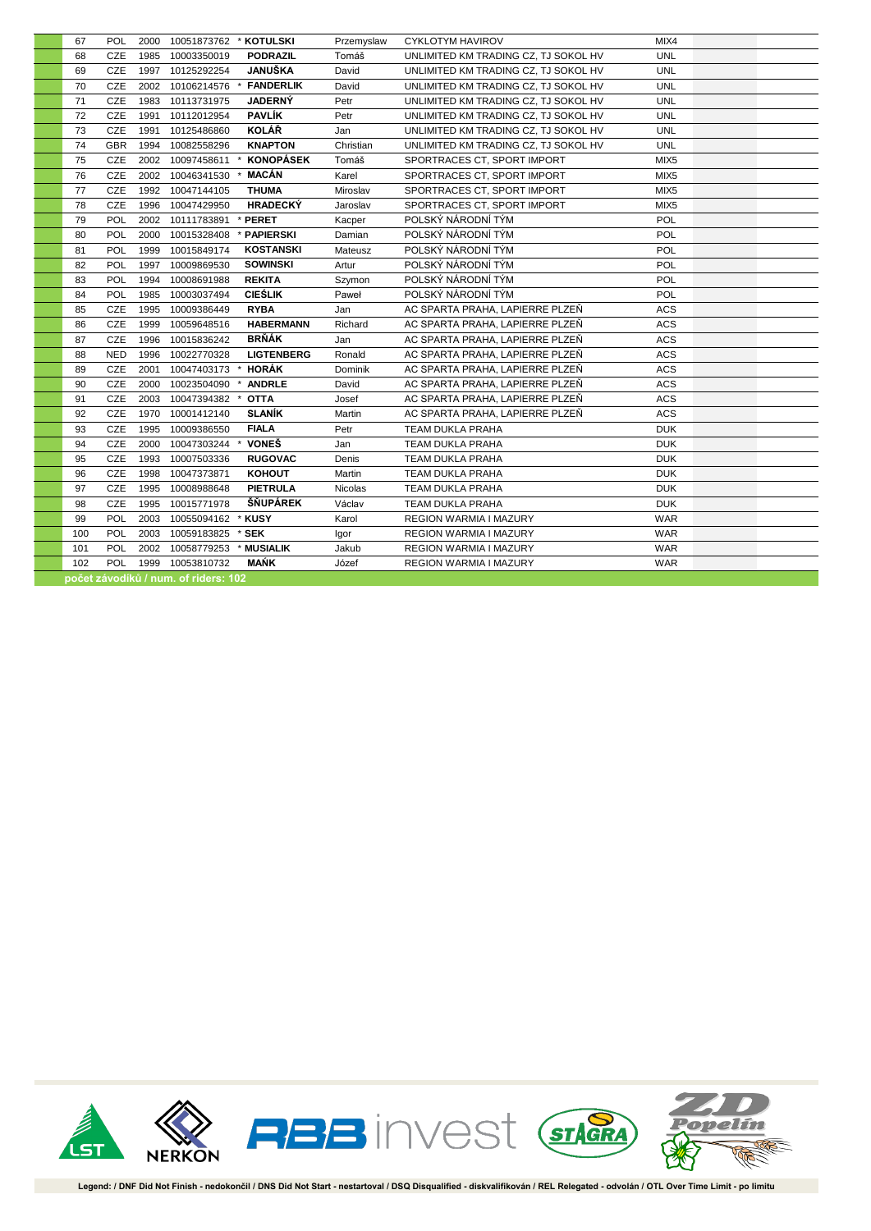| 67  | <b>POL</b> |      | 2000 10051873762 * KOTULSKI          |                        | Przemyslaw | CYKLOTYM HAVIROV                     | MIX4             |  |
|-----|------------|------|--------------------------------------|------------------------|------------|--------------------------------------|------------------|--|
| 68  | CZE        |      | 1985 10003350019                     | <b>PODRAZIL</b>        | Tomáš      | UNLIMITED KM TRADING CZ, TJ SOKOL HV | <b>UNL</b>       |  |
| 69  | CZE        |      | 1997 10125292254                     | <b>JANUŠKA</b>         | David      | UNLIMITED KM TRADING CZ, TJ SOKOL HV | <b>UNL</b>       |  |
| 70  | CZE        |      | 2002 10106214576                     | <b>FANDERLIK</b>       | David      | UNLIMITED KM TRADING CZ, TJ SOKOL HV | <b>UNL</b>       |  |
| 71  | CZE        |      | 1983 10113731975                     | <b>JADERNÝ</b>         | Petr       | UNLIMITED KM TRADING CZ, TJ SOKOL HV | <b>UNL</b>       |  |
| 72  | CZE        | 1991 | 10112012954                          | <b>PAVLÍK</b>          | Petr       | UNLIMITED KM TRADING CZ, TJ SOKOL HV | <b>UNL</b>       |  |
| 73  | CZE        | 1991 | 10125486860                          | <b>KOLÁŘ</b>           | Jan        | UNLIMITED KM TRADING CZ, TJ SOKOL HV | <b>UNL</b>       |  |
| 74  | GBR        |      | 1994 10082558296                     | <b>KNAPTON</b>         | Christian  | UNLIMITED KM TRADING CZ, TJ SOKOL HV | <b>UNL</b>       |  |
| 75  | CZE        |      | 2002 10097458611 *                   | <b>KONOPÁSEK</b>       | Tomáš      | SPORTRACES CT, SPORT IMPORT          | MIX <sub>5</sub> |  |
| 76  | CZE        |      | 2002 10046341530                     | MACÁN<br>$\cdot$       | Karel      | SPORTRACES CT, SPORT IMPORT          | MIX <sub>5</sub> |  |
| 77  | CZE        |      | 1992 10047144105                     | <b>THUMA</b>           | Miroslav   | SPORTRACES CT, SPORT IMPORT          | MIX <sub>5</sub> |  |
| 78  | CZE        |      | 1996 10047429950                     | <b>HRADECKÝ</b>        | Jaroslav   | SPORTRACES CT, SPORT IMPORT          | MIX5             |  |
| 79  | POL        |      | 2002 10111783891                     | * PERET                | Kacper     | POLSKÝ NÁRODNÍ TÝM                   | <b>POL</b>       |  |
| 80  | POL        |      | 2000 10015328408                     | * PAPIERSKI            | Damian     | POLSKÝ NÁRODNÍ TÝM                   | POL              |  |
| 81  | <b>POL</b> | 1999 | 10015849174                          | <b>KOSTANSKI</b>       | Mateusz    | POLSKÝ NÁRODNÍ TÝM                   | <b>POL</b>       |  |
| 82  | <b>POL</b> | 1997 | 10009869530                          | <b>SOWINSKI</b>        | Artur      | POLSKÝ NÁRODNÍ TÝM                   | POL              |  |
| 83  | POL        | 1994 | 10008691988                          | <b>REKITA</b>          | Szymon     | POLSKÝ NÁRODNÍ TÝM                   | POL              |  |
| 84  | POL        | 1985 | 10003037494                          | <b>CIEŚLIK</b>         | Paweł      | POLSKÝ NÁRODNÍ TÝM                   | POL              |  |
| 85  | CZE        | 1995 | 10009386449                          | <b>RYBA</b>            | Jan        | AC SPARTA PRAHA, LAPIERRE PLZEŇ      | ACS              |  |
| 86  | CZE        | 1999 | 10059648516                          | <b>HABERMANN</b>       | Richard    | AC SPARTA PRAHA, LAPIERRE PLZEŇ      | <b>ACS</b>       |  |
| 87  | CZE        | 1996 | 10015836242                          | <b>BRŇÁK</b>           | Jan        | AC SPARTA PRAHA, LAPIERRE PLZEŇ      | <b>ACS</b>       |  |
| 88  | <b>NED</b> | 1996 | 10022770328                          | <b>LIGTENBERG</b>      | Ronald     | AC SPARTA PRAHA, LAPIERRE PLZEŇ      | <b>ACS</b>       |  |
| 89  | CZE        | 2001 | 10047403173                          | * HORÁK                | Dominik    | AC SPARTA PRAHA, LAPIERRE PLZEŇ      | <b>ACS</b>       |  |
| 90  | CZE        |      | 2000 10023504090                     | * ANDRLE               | David      | AC SPARTA PRAHA, LAPIERRE PLZEŇ      | ACS              |  |
| 91  | CZE        |      | 2003 10047394382                     | <b>OTTA</b><br>$\star$ | Josef      | AC SPARTA PRAHA, LAPIERRE PLZEŇ      | <b>ACS</b>       |  |
| 92  | CZE        |      | 1970 10001412140                     | <b>SLANÍK</b>          | Martin     | AC SPARTA PRAHA, LAPIERRE PLZEŇ      | <b>ACS</b>       |  |
| 93  | CZE        | 1995 | 10009386550                          | <b>FIALA</b>           | Petr       | TEAM DUKLA PRAHA                     | <b>DUK</b>       |  |
| 94  | CZE        |      | 2000 10047303244                     | * VONEŠ                | Jan        | TEAM DUKLA PRAHA                     | <b>DUK</b>       |  |
| 95  | CZE        |      | 1993 10007503336                     | <b>RUGOVAC</b>         | Denis      | TEAM DUKLA PRAHA                     | <b>DUK</b>       |  |
| 96  | CZE        | 1998 | 10047373871                          | <b>KOHOUT</b>          | Martin     | <b>TEAM DUKLA PRAHA</b>              | <b>DUK</b>       |  |
| 97  | <b>CZE</b> | 1995 | 10008988648                          | <b>PIETRULA</b>        | Nicolas    | TEAM DUKLA PRAHA                     | <b>DUK</b>       |  |
| 98  | CZE        | 1995 | 10015771978                          | ŠŇUPÁREK               | Václav     | TEAM DUKLA PRAHA                     | <b>DUK</b>       |  |
| 99  | POL        |      | 2003 10055094162 * KUSY              |                        | Karol      | REGION WARMIA I MAZURY               | <b>WAR</b>       |  |
| 100 | POL        |      | 2003 10059183825 * SEK               |                        | Igor       | REGION WARMIA I MAZURY               | <b>WAR</b>       |  |
| 101 | POL        |      | 2002 10058779253 * MUSIALIK          |                        | Jakub      | REGION WARMIA I MAZURY               | <b>WAR</b>       |  |
| 102 | <b>POL</b> |      | 1999 10053810732                     | <b>MAŃK</b>            | Józef      | <b>REGION WARMIA I MAZURY</b>        | <b>WAR</b>       |  |
|     |            |      | počet závodíků / num. of riders: 102 |                        |            |                                      |                  |  |

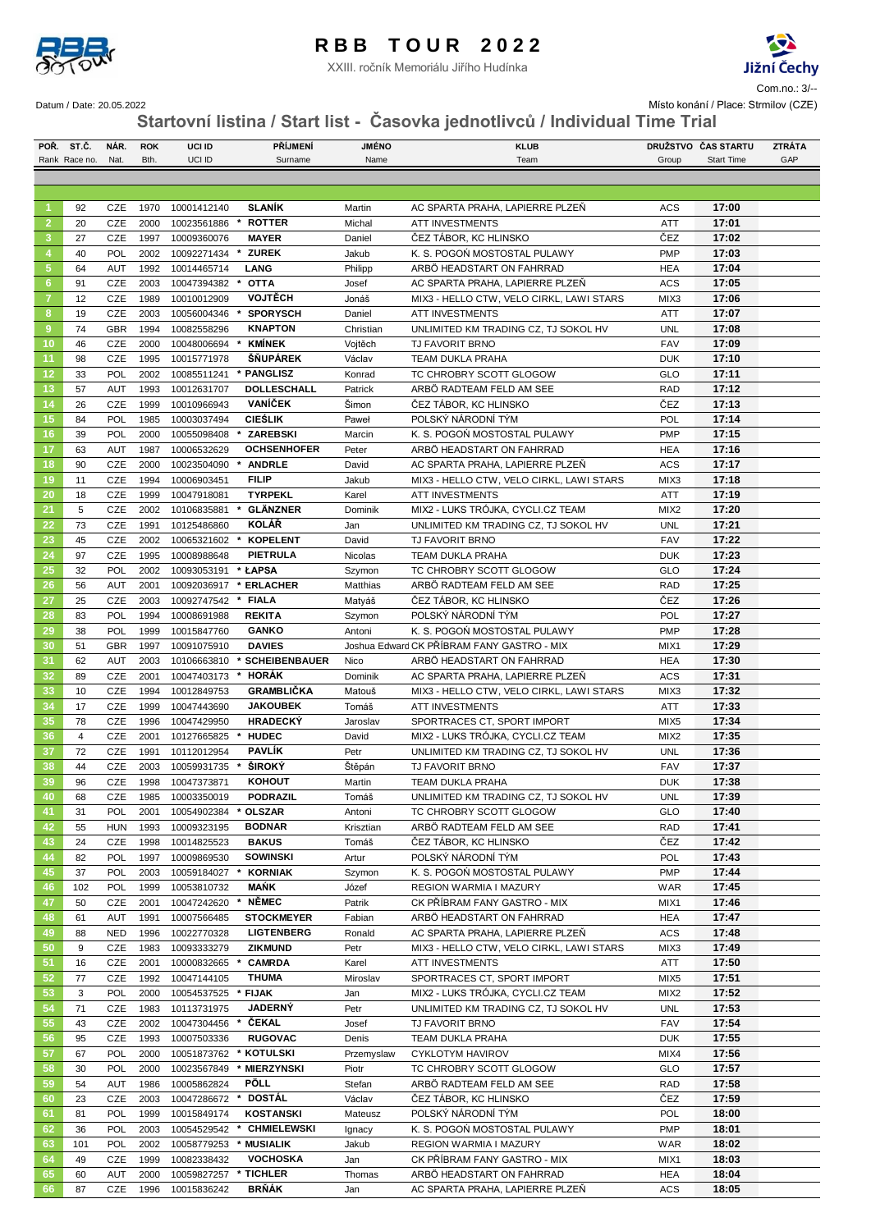

XXIII. ročník Memoriálu Jiřího Hudínka



 $S<sub>1</sub>$  Com.no.: 3/--

Datum / Date: 20.05.2022 Místo konání / Place: Strmilov (CZE)

**Startovní listina / Start list - Časovka jednotlivců / Individual Time Trial**

|                | POR. ST.C.     | NÁR.       | <b>ROK</b>   | UCI ID                     | <b>PŘÍJMENÍ</b>            | <b>JMENO</b>        | <b>KLUB</b>                                                                 |                    | DRUŽSTVO ČAS STARTU | <b>ZTRÁTA</b> |
|----------------|----------------|------------|--------------|----------------------------|----------------------------|---------------------|-----------------------------------------------------------------------------|--------------------|---------------------|---------------|
|                | Rank Race no.  | Nat.       | Bth.         | UCI ID                     | Surname                    | Name                | Team                                                                        | Group              | <b>Start Time</b>   | GAP           |
|                |                |            |              |                            |                            |                     |                                                                             |                    |                     |               |
|                |                |            |              |                            |                            |                     |                                                                             |                    |                     |               |
| -1             | 92             | CZE        | 1970         | 10001412140                | <b>SLANÍK</b>              | Martin              | AC SPARTA PRAHA, LAPIERRE PLZEN                                             | <b>ACS</b>         | 17:00               |               |
| $\overline{2}$ | 20             | CZE        | 2000         | 10023561886                | <b>ROTTER</b>              | Michal              | <b>ATT INVESTMENTS</b>                                                      | ATT                | 17:01               |               |
| 3              | 27             | CZE        | 1997         | 10009360076                | <b>MAYER</b>               | Daniel              | ČEZ TÁBOR, KC HLINSKO                                                       | ČEZ                | 17:02               |               |
| $\overline{4}$ | 40             | POL        | 2002         | 10092271434                | <b>ZUREK</b>               | Jakub               | K. S. POGOŃ MOSTOSTAL PULAWY                                                | <b>PMP</b>         | 17:03               |               |
| $\sqrt{5}$     | 64             | <b>AUT</b> | 1992         | 10014465714                | <b>LANG</b>                | Philipp             | ARBÖ HEADSTART ON FAHRRAD                                                   | <b>HEA</b>         | 17:04               |               |
| 6              | 91             | CZE        | 2003         | 10047394382                | <b>OTTA</b>                | Josef               | AC SPARTA PRAHA, LAPIERRE PLZEŇ                                             | <b>ACS</b>         | 17:05               |               |
| 7              | 12             | CZE        | 1989         | 10010012909                | <b>VOJTĚCH</b>             | Jonáš               | MIX3 - HELLO CTW, VELO CIRKL, LAWI STARS                                    | MIX3               | 17:06               |               |
| 8              | 19             | CZE        | 2003         | 10056004346                | <b>SPORYSCH</b>            | Daniel              | <b>ATT INVESTMENTS</b>                                                      | ATT                | 17:07               |               |
| $\overline{9}$ | 74             | <b>GBR</b> | 1994         | 10082558296                | <b>KNAPTON</b>             | Christian           | UNLIMITED KM TRADING CZ, TJ SOKOL HV                                        | <b>UNL</b>         | 17:08               |               |
| 10             | 46             | CZE        | 2000         | 10048006694 * KMÍNEK       |                            | Vojtěch             | <b>TJ FAVORIT BRNO</b>                                                      | <b>FAV</b>         | 17:09               |               |
| 11             | 98             | CZE        | 1995         | 10015771978                | ŠŇUPÁREK                   | Václav              | TEAM DUKLA PRAHA                                                            | <b>DUK</b>         | 17:10               |               |
| 12             | 33             | POL        | 2002         | 10085511241                | * PANGLISZ                 | Konrad              | TC CHROBRY SCOTT GLOGOW                                                     | GLO                | 17:11               |               |
| 13             | 57             | <b>AUT</b> | 1993         | 10012631707                | DOLLESCHALL                | Patrick             | ARBÖ RADTEAM FELD AM SEE                                                    | <b>RAD</b>         | 17:12               |               |
| 14             | 26             | CZE        | 1999         | 10010966943                | <b>VANÍČEK</b>             | Šimon               | ČEZ TÁBOR, KC HLINSKO                                                       | ČEZ                | 17:13               |               |
| 15             | 84             | POL        | 1985         | 10003037494                | <b>CIEŚLIK</b>             | Paweł               | POLSKÝ NÁRODNÍ TÝM                                                          | POL                | 17:14               |               |
| 16             | 39             | POL        | 2000         | 10055098408                | <b>ZAREBSKI</b>            | Marcin              | K. S. POGOŃ MOSTOSTAL PULAWY                                                | PMP                | 17:15               |               |
| 17             | 63             | AUT        | 1987         | 10006532629                | <b>OCHSENHOFER</b>         | Peter               | ARBÖ HEADSTART ON FAHRRAD                                                   | <b>HEA</b>         | 17:16               |               |
| 18             | 90             | CZE        | 2000         | 10023504090                | <b>ANDRLE</b>              | David               | AC SPARTA PRAHA, LAPIERRE PLZEŇ                                             | <b>ACS</b>         | 17:17               |               |
| 19             | 11             | CZE        | 1994         | 10006903451                | <b>FILIP</b>               | Jakub               | MIX3 - HELLO CTW, VELO CIRKL, LAWI STARS                                    | MIX3               | 17:18               |               |
| 20             | 18             | CZE        | 1999         | 10047918081                | <b>TYRPEKL</b>             | Karel               | <b>ATT INVESTMENTS</b>                                                      | ATT                | 17:19               |               |
| 21             | 5              | CZE        | 2002         | 10106835881                | * GLÄNZNER                 | Dominik             | MIX2 - LUKS TRÓJKA, CYCLI.CZ TEAM                                           | MIX <sub>2</sub>   | 17:20               |               |
| 22             | 73             | CZE        | 1991         | 10125486860                | <b>KOLÁŘ</b>               | Jan                 | UNLIMITED KM TRADING CZ, TJ SOKOL HV                                        | <b>UNL</b>         | 17:21               |               |
| 23<br>24       | 45             | CZE        | 2002         | 10065321602                | <b>KOPELENT</b>            | David               | TJ FAVORIT BRNO                                                             | <b>FAV</b>         | 17:22<br>17:23      |               |
|                | 97             | CZE        | 1995         | 10008988648                | PIETRULA                   | Nicolas             | TEAM DUKLA PRAHA                                                            | <b>DUK</b>         |                     |               |
| 25             | 32             | POL        | 2002         | 10093053191                | * ŁAPSA                    | Szymon              | TC CHROBRY SCOTT GLOGOW                                                     | GLO                | 17:24               |               |
| 26             | 56             | <b>AUT</b> | 2001         | 10092036917                | * ERLACHER                 | Matthias            | ARBÖ RADTEAM FELD AM SEE                                                    | <b>RAD</b>         | 17:25               |               |
| 27             | 25             | CZE        | 2003         | 10092747542                | * FIALA                    | Matyáš              | ČEZ TÁBOR, KC HLINSKO                                                       | ČEZ                | 17:26               |               |
| 28             | 83             | POL        | 1994         | 10008691988                | <b>REKITA</b>              | Szymon              | POLSKÝ NÁRODNÍ TÝM                                                          | POL                | 17:27               |               |
| 29             | 38             | POL        | 1999         | 10015847760                | <b>GANKO</b>               | Antoni              | K. S. POGOŃ MOSTOSTAL PULAWY                                                | <b>PMP</b>         | 17:28               |               |
| 30             | 51             | <b>GBR</b> | 1997         | 10091075910                | <b>DAVIES</b>              |                     | Joshua Edward CK PŘÍBRAM FANY GASTRO - MIX                                  | MIX1               | 17:29<br>17:30      |               |
| 31             | 62             | <b>AUT</b> | 2003         | 10106663810                | * SCHEIBENBAUER<br>* HORÁK | Nico                | ARBÖ HEADSTART ON FAHRRAD                                                   | HEA                | 17:31               |               |
| 32<br>33       | 89<br>10       | CZE<br>CZE | 2001<br>1994 | 10047403173                | <b>GRAMBLIČKA</b>          | Dominik<br>Matouš   | AC SPARTA PRAHA, LAPIERRE PLZEN<br>MIX3 - HELLO CTW, VELO CIRKL, LAWI STARS | <b>ACS</b><br>MIX3 | 17:32               |               |
| 34             | 17             | CZE        | 1999         | 10012849753<br>10047443690 | <b>JAKOUBEK</b>            | Tomáš               | <b>ATT INVESTMENTS</b>                                                      | <b>ATT</b>         | 17:33               |               |
| 35             | 78             | CZE        | 1996         | 10047429950                | <b>HRADECKÝ</b>            | Jaroslav            | SPORTRACES CT, SPORT IMPORT                                                 | MIX <sub>5</sub>   | 17:34               |               |
| 36             | $\overline{4}$ | CZE        | 2001         | 10127665825                | * HUDEC                    | David               | MIX2 - LUKS TRÓJKA, CYCLI.CZ TEAM                                           | MIX <sub>2</sub>   | 17:35               |               |
| 37             | 72             | CZE        | 1991         | 10112012954                | <b>PAVLIK</b>              | Petr                | UNLIMITED KM TRADING CZ, TJ SOKOL HV                                        | <b>UNL</b>         | 17:36               |               |
| 38             | 44             | CZE        | 2003         | 10059931735                | <b>ŠIROKÝ</b>              | Štěpán              | TJ FAVORIT BRNO                                                             | <b>FAV</b>         | 17:37               |               |
| 39             | 96             | CZE        | 1998         | 10047373871                | <b>KOHOUT</b>              | Martin              | TEAM DUKLA PRAHA                                                            | <b>DUK</b>         | 17:38               |               |
| 40             | 68             | CZE        |              | 1985 10003350019           | PODRAZIL                   | Tomáš               | UNLIMITED KM TRADING CZ, TJ SOKOL HV                                        | UNL                | 17:39               |               |
| 41             | 31             | POL        | 2001         | 10054902384 * OLSZAR       |                            |                     | TC CHROBRY SCOTT GLOGOW                                                     | GLO                | 17:40               |               |
| 42             | 55             | <b>HUN</b> | 1993         | 10009323195                | <b>BODNAR</b>              | Antoni<br>Krisztian | ARBÖ RADTEAM FELD AM SEE                                                    | RAD                | 17:41               |               |
| 43             | 24             | CZE        | 1998         | 10014825523                | <b>BAKUS</b>               | Tomáš               | ČEZ TÁBOR, KC HLINSKO                                                       | ČEZ                | 17:42               |               |
| 44             | 82             | POL        | 1997         | 10009869530                | <b>SOWINSKI</b>            | Artur               | POLSKÝ NÁRODNÍ TÝM                                                          | POL                | 17:43               |               |
| 45             | 37             | POL        | 2003         | 10059184027                | <b>KORNIAK</b>             | Szymon              | K. S. POGOŃ MOSTOSTAL PULAWY                                                | <b>PMP</b>         | 17:44               |               |
| 46             | 102            | POL        | 1999         | 10053810732                | <b>MAŃK</b>                | Józef               | REGION WARMIA I MAZURY                                                      | WAR                | 17:45               |               |
| 47             | 50             | CZE        | 2001         | 10047242620                | NĚMEC                      | Patrik              | CK PŘÍBRAM FANY GASTRO - MIX                                                | MIX1               | 17:46               |               |
| 48             | 61             | <b>AUT</b> | 1991         | 10007566485                | <b>STOCKMEYER</b>          | Fabian              | ARBÖ HEADSTART ON FAHRRAD                                                   | HEA                | 17:47               |               |
| 49             | 88             | <b>NED</b> | 1996         | 10022770328                | <b>LIGTENBERG</b>          | Ronald              | AC SPARTA PRAHA, LAPIERRE PLZEŇ                                             | ACS                | 17:48               |               |
| 50             | 9              | CZE        | 1983         | 10093333279                | <b>ZIKMUND</b>             | Petr                | MIX3 - HELLO CTW, VELO CIRKL, LAWI STARS                                    | MIX3               | 17:49               |               |
| 51             | 16             | CZE        | 2001         | 10000832665                | <b>CAMRDA</b>              | Karel               | ATT INVESTMENTS                                                             | ATT                | 17:50               |               |
| 52             | 77             | CZE        | 1992         | 10047144105                | <b>THUMA</b>               | Miroslav            | SPORTRACES CT, SPORT IMPORT                                                 | MIX <sub>5</sub>   | 17:51               |               |
| 53             | 3              | POL        | 2000         | 10054537525                | * FIJAK                    | Jan                 | MIX2 - LUKS TRÓJKA, CYCLI.CZ TEAM                                           | MIX <sub>2</sub>   | 17:52               |               |
| 54             | 71             | CZE        | 1983         | 10113731975                | <b>JADERNÝ</b>             | Petr                | UNLIMITED KM TRADING CZ, TJ SOKOL HV                                        | <b>UNL</b>         | 17:53               |               |
| 55             | 43             | CZE        | 2002         | 10047304456                | * ČEKAL                    | Josef               | TJ FAVORIT BRNO                                                             | <b>FAV</b>         | 17:54               |               |
| 56             | 95             | CZE        | 1993         | 10007503336                | <b>RUGOVAC</b>             | Denis               | TEAM DUKLA PRAHA                                                            | <b>DUK</b>         | 17:55               |               |
| 57             | 67             | POL        | 2000         | 10051873762 * KOTULSKI     |                            | Przemyslaw          | CYKLOTYM HAVIROV                                                            | MIX4               | 17:56               |               |
| 58             | 30             | POL        | 2000         | 10023567849                | <b>MIERZYNSKI</b>          | Piotr               | TC CHROBRY SCOTT GLOGOW                                                     | GLO                | 17:57               |               |
| 59             | 54             | <b>AUT</b> | 1986         | 10005862824                | <b>PÖLL</b>                | Stefan              | ARBÖ RADTEAM FELD AM SEE                                                    | <b>RAD</b>         | 17:58               |               |
| 60             | 23             | CZE        | 2003         | 10047286672                | * DOSTÁL                   | Václav              | ČEZ TÁBOR, KC HLINSKO                                                       | ČEZ                | 17:59               |               |
| 61             | 81             | POL        | 1999         | 10015849174                | <b>KOSTANSKI</b>           | Mateusz             | POLSKÝ NÁRODNÍ TÝM                                                          | POL                | 18:00               |               |
| 62             | 36             | POL        | 2003         | 10054529542                | * CHMIELEWSKI              | Ignacy              | K. S. POGOŃ MOSTOSTAL PULAWY                                                | <b>PMP</b>         | 18:01               |               |
| 63             | 101            | POL        | 2002         | 10058779253                | * MUSIALIK                 | Jakub               | REGION WARMIA I MAZURY                                                      | WAR                | 18:02               |               |
| 64             | 49             | CZE        | 1999         | 10082338432                | <b>VOCHOSKA</b>            | Jan                 | CK PŘÍBRAM FANY GASTRO - MIX                                                | MIX1               | 18:03               |               |
| 65             | 60             | <b>AUT</b> | 2000         | 10059827257                | * TICHLER                  | Thomas              | ARBÖ HEADSTART ON FAHRRAD                                                   | <b>HEA</b>         | 18:04               |               |
| 66             | 87             | CZE        | 1996         | 10015836242                | <b>BRŇÁK</b>               | Jan                 | AC SPARTA PRAHA, LAPIERRE PLZEŇ                                             | ACS                | 18:05               |               |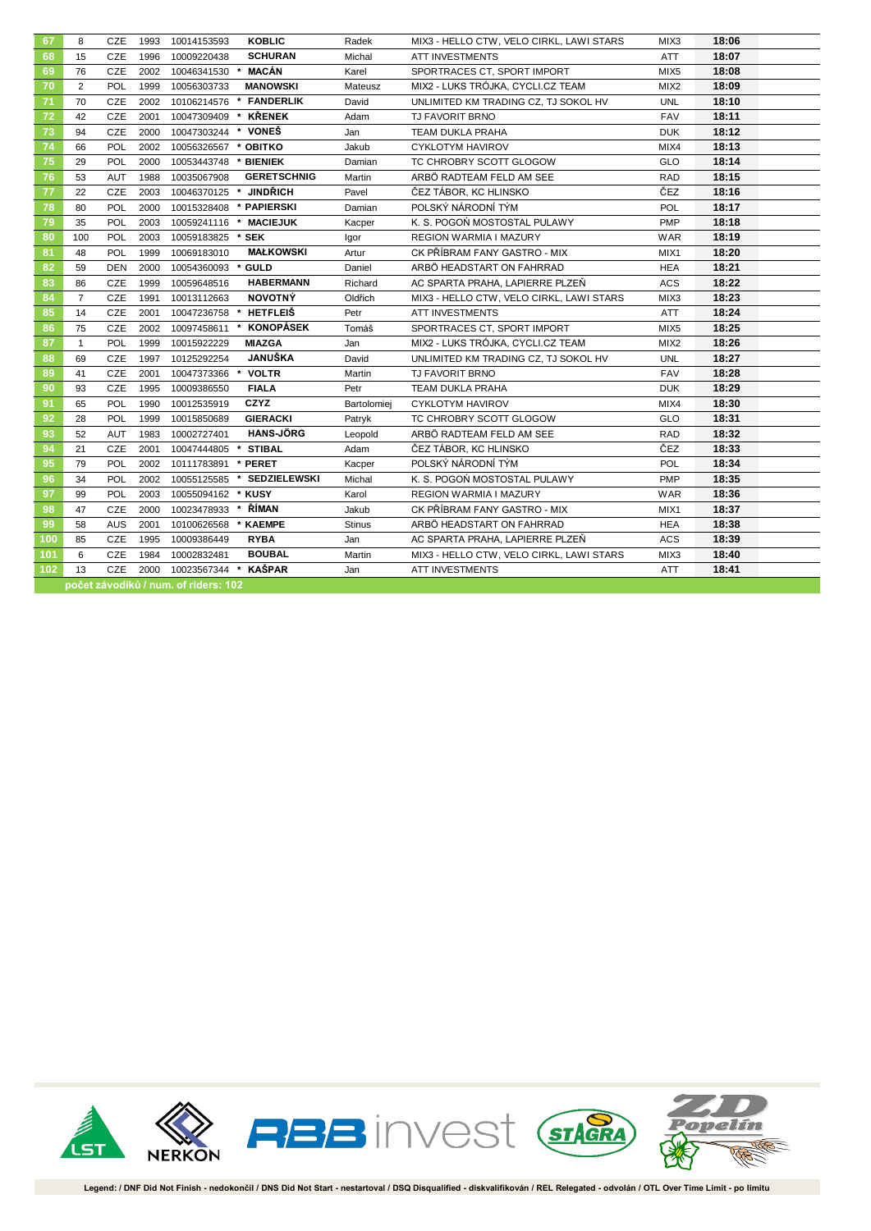| 67  | 8              | CZE        | 1993 | 10014153593                          | <b>KOBLIC</b>              | Radek         | MIX3 - HELLO CTW, VELO CIRKL, LAWI STARS | MIX3             | 18:06 |
|-----|----------------|------------|------|--------------------------------------|----------------------------|---------------|------------------------------------------|------------------|-------|
| 68  | 15             | <b>CZE</b> | 1996 | 10009220438                          | <b>SCHURAN</b>             | Michal        | <b>ATT INVESTMENTS</b>                   | <b>ATT</b>       | 18:07 |
| 69  | 76             | <b>CZE</b> | 2002 | 10046341530                          | * MACÁN                    | Karel         | SPORTRACES CT, SPORT IMPORT              | MIX5             | 18:08 |
| 70  | 2              | <b>POL</b> | 1999 | 10056303733                          | <b>MANOWSKI</b>            | Mateusz       | MIX2 - LUKS TRÓJKA, CYCLI.CZ TEAM        | MIX <sub>2</sub> | 18:09 |
| 71  | 70             | CZE        | 2002 |                                      | 10106214576 * FANDERLIK    | David         | UNLIMITED KM TRADING CZ, TJ SOKOL HV     | <b>UNL</b>       | 18:10 |
| 72  | 42             | CZE        | 2001 | 10047309409 * KŘENEK                 |                            | Adam          | TJ FAVORIT BRNO                          | <b>FAV</b>       | 18:11 |
| 73  | 94             | <b>CZE</b> | 2000 | 10047303244 * VONEŠ                  |                            | Jan           | TEAM DUKLA PRAHA                         | <b>DUK</b>       | 18:12 |
| 74  | 66             | POL        | 2002 | 10056326567 * OBITKO                 |                            | Jakub         | CYKLOTYM HAVIROV                         | MIX4             | 18:13 |
| 75  | 29             | <b>POL</b> | 2000 | 10053443748 * BIENIEK                |                            | Damian        | TC CHROBRY SCOTT GLOGOW                  | <b>GLO</b>       | 18:14 |
| 76  | 53             | <b>AUT</b> | 1988 | 10035067908                          | <b>GERETSCHNIG</b>         | Martin        | ARBÖ RADTEAM FELD AM SEE                 | <b>RAD</b>       | 18:15 |
| 77  | 22             | <b>CZE</b> | 2003 | 10046370125 *                        | <b>JINDŘICH</b>            | Pavel         | ČEZ TÁBOR, KC HLINSKO                    | ČEZ              | 18:16 |
| 78  | 80             | POL        | 2000 | 10015328408 * PAPIERSKI              |                            | Damian        | POLSKÝ NÁRODNÍ TÝM                       | POL              | 18:17 |
| 79  | 35             | POL        | 2003 | 10059241116 * MACIEJUK               |                            | Kacper        | K. S. POGOŃ MOSTOSTAL PULAWY             | PMP              | 18:18 |
| 80  | 100            | POL        | 2003 | 10059183825 * SEK                    |                            | Igor          | REGION WARMIA I MAZURY                   | <b>WAR</b>       | 18:19 |
| 81  | 48             | POL        | 1999 | 10069183010                          | <b>MAŁKOWSKI</b>           | Artur         | CK PŘÍBRAM FANY GASTRO - MIX             | MIX1             | 18:20 |
| 82  | 59             | DEN        | 2000 | 10054360093 * GULD                   |                            | Daniel        | ARBÖ HEADSTART ON FAHRRAD                | <b>HEA</b>       | 18:21 |
| 83  | 86             | CZE        | 1999 | 10059648516                          | <b>HABERMANN</b>           | Richard       | AC SPARTA PRAHA, LAPIERRE PLZEŃ          | ACS              | 18:22 |
| 84  | $\overline{7}$ | CZE        | 1991 | 10013112663                          | <b>NOVOTNÝ</b>             | Oldřich       | MIX3 - HELLO CTW, VELO CIRKL, LAWI STARS | MIX3             | 18:23 |
| 85  | 14             | CZE        | 2001 | 10047236758                          | <b>HETFLEIŠ</b><br>*       | Petr          | <b>ATT INVESTMENTS</b>                   | <b>ATT</b>       | 18:24 |
| 86  | 75             | CZE        | 2002 | 10097458611                          | KONOPÁSEK<br>*             | Tomáš         | SPORTRACES CT, SPORT IMPORT              | MIX <sub>5</sub> | 18:25 |
| 87  | $\mathbf{1}$   | <b>POL</b> | 1999 | 10015922229                          | <b>MIAZGA</b>              | Jan           | MIX2 - LUKS TRÓJKA, CYCLI.CZ TEAM        | MIX <sub>2</sub> | 18:26 |
| 88  | 69             | CZE        | 1997 | 10125292254                          | <b>JANUŠKA</b>             | David         | UNLIMITED KM TRADING CZ, TJ SOKOL HV     | <b>UNL</b>       | 18:27 |
| 89  | 41             | CZE        | 2001 | 10047373366                          | <b>VOLTR</b>               | Martin        | TJ FAVORIT BRNO                          | <b>FAV</b>       | 18:28 |
| 90  | 93             | CZE        | 1995 | 10009386550                          | <b>FIALA</b>               | Petr          | TEAM DUKLA PRAHA                         | <b>DUK</b>       | 18:29 |
| 91  | 65             | <b>POL</b> | 1990 | 10012535919                          | CZYZ                       | Bartolomiej   | <b>CYKLOTYM HAVIROV</b>                  | MIX4             | 18:30 |
| 92  | 28             | <b>POL</b> | 1999 | 10015850689                          | <b>GIERACKI</b>            | Patryk        | TC CHROBRY SCOTT GLOGOW                  | GLO              | 18:31 |
| 93  | 52             | <b>AUT</b> | 1983 | 10002727401                          | <b>HANS-JÖRG</b>           | Leopold       | ARBÖ RADTEAM FELD AM SEE                 | <b>RAD</b>       | 18:32 |
| 94  | 21             | CZE        | 2001 | 10047444805 * STIBAL                 |                            | Adam          | ČEZ TÁBOR, KC HLINSKO                    | ČEZ              | 18:33 |
| 95  | 79             | POL        | 2002 | 10111783891                          | * PERET                    | Kacper        | POLSKÝ NÁRODNÍ TÝM                       | <b>POL</b>       | 18:34 |
| 96  | 34             | POL        | 2002 |                                      | 10055125585 * SEDZIELEWSKI | Michal        | K. S. POGOŃ MOSTOSTAL PULAWY             | PMP              | 18:35 |
| 97  | 99             | <b>POL</b> | 2003 | 10055094162                          | * KUSY                     | Karol         | <b>REGION WARMIA I MAZURY</b>            | <b>WAR</b>       | 18:36 |
| 98  | 47             | CZE        | 2000 | 10023478933                          | ŘÍMAN<br>*                 | Jakub         | CK PŘÍBRAM FANY GASTRO - MIX             | MIX1             | 18:37 |
| 99  | 58             | <b>AUS</b> | 2001 | 10100626568                          | * KAEMPE                   | <b>Stinus</b> | ARBÖ HEADSTART ON FAHRRAD                | <b>HEA</b>       | 18:38 |
| 100 | 85             | CZE        | 1995 | 10009386449                          | <b>RYBA</b>                | Jan           | AC SPARTA PRAHA, LAPIERRE PLZEŇ          | ACS              | 18:39 |
| 101 | 6              | CZE        | 1984 | 10002832481                          | <b>BOUBAL</b>              | Martin        | MIX3 - HELLO CTW, VELO CIRKL, LAWI STARS | MIX3             | 18:40 |
| 102 | 13             | <b>CZE</b> | 2000 | 10023567344 * KAŠPAR                 |                            | Jan           | <b>ATT INVESTMENTS</b>                   | <b>ATT</b>       | 18:41 |
|     |                |            |      | počet závodíků / num. of riders: 102 |                            |               |                                          |                  |       |

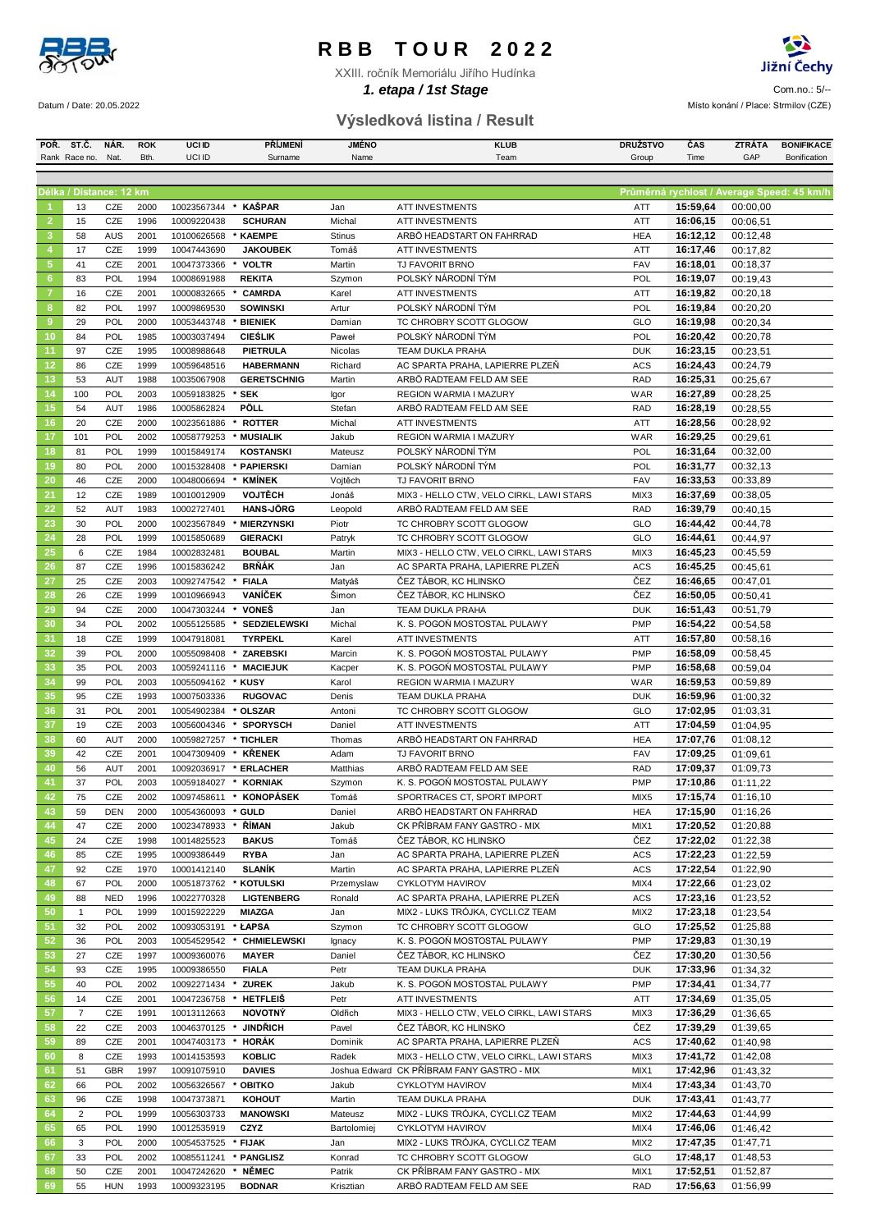

XXIII. ročník Memoriálu Jiřího Hudínka



**1. etapa / 1st Stage Entrance Community Community Community Community Community Community Community Community Community Community Community Community Community Community Community Community Community Community Community** Datum / Date: 20.05.2022 **Místo konání / Place: Strmilov (CZE)** 

### **POŘ. ST.Č. NÁR. ROK UCI ID PŘÍJMENÍ JMÉNO KLUB DRUŽSTVO ČAS ZTRÁTA BONIFIKACE Výsledková listina / Result**

|                | Rank Race no.           | Nat.       | Bth.         | UCI ID                | Surname            | Name           | Team                                             | Group      | Time                                       | GAP      | Bonification |
|----------------|-------------------------|------------|--------------|-----------------------|--------------------|----------------|--------------------------------------------------|------------|--------------------------------------------|----------|--------------|
|                |                         |            |              |                       |                    |                |                                                  |            |                                            |          |              |
|                | Délka / Distance: 12 km |            |              |                       |                    |                |                                                  |            |                                            |          |              |
|                |                         |            |              |                       |                    |                |                                                  |            | Průměrná rychlost / Average Speed: 45 km/h |          |              |
|                | 13                      | CZE        | 2000         | 10023567344           | KAŠPAR             | Jan            | <b>ATT INVESTMENTS</b>                           | ATT        | 15:59,64                                   | 00:00,00 |              |
| $\overline{2}$ | 15                      | CZE        | 1996         | 10009220438           | <b>SCHURAN</b>     | Michal         | <b>ATT INVESTMENTS</b>                           | ATT        | 16:06,15                                   | 00:06,51 |              |
| 3              | 58                      | <b>AUS</b> | 2001         | 10100626568           | * KAEMPE           | <b>Stinus</b>  | ARBÖ HEADSTART ON FAHRRAD                        | <b>HEA</b> | 16:12,12                                   | 00:12.48 |              |
| 4              | 17                      | CZE        | 1999         | 10047443690           | <b>JAKOUBEK</b>    | Tomáš          | <b>ATT INVESTMENTS</b>                           | ATT        | 16:17,46                                   | 00:17,82 |              |
| $\sqrt{5}$     | 41                      | CZE        | 2001         | 10047373366           | * VOLTR            | Martin         | TJ FAVORIT BRNO                                  | <b>FAV</b> | 16:18,01                                   | 00:18,37 |              |
| 6              | 83                      | POL        | 1994         | 10008691988           | <b>REKITA</b>      | Szymon         | POLSKÝ NÁRODNÍ TÝM                               | POL        | 16:19,07                                   | 00:19,43 |              |
| $\overline{7}$ | 16                      | CZE        | 2001         | 10000832665           | <b>CAMRDA</b>      | Karel          | <b>ATT INVESTMENTS</b>                           | ATT        | 16:19,82                                   | 00:20,18 |              |
| 8              | 82                      | POL        | 1997         | 10009869530           | <b>SOWINSKI</b>    | Artur          | POLSKÝ NÁRODNÍ TÝM                               | POL        | 16:19,84                                   | 00:20,20 |              |
| $\overline{9}$ | 29                      | <b>POL</b> | 2000         | 10053443748           | * BIENIEK          | Damian         | TC CHROBRY SCOTT GLOGOW                          | GLO        | 16:19,98                                   | 00:20,34 |              |
| 10             | 84                      | POL        | 1985         | 10003037494           | <b>CIEŚLIK</b>     | Paweł          | POLSKÝ NÁRODNÍ TÝM                               | POL        | 16:20,42                                   | 00:20,78 |              |
| 11             | 97                      | CZE        | 1995         | 10008988648           | PIETRULA           | Nicolas        | <b>TEAM DUKLA PRAHA</b>                          | <b>DUK</b> | 16:23,15                                   | 00:23,51 |              |
| 12             | 86                      | CZE        | 1999         | 10059648516           | <b>HABERMANN</b>   | Richard        | AC SPARTA PRAHA, LAPIERRE PLZEŇ                  | <b>ACS</b> | 16:24,43                                   |          |              |
|                |                         |            |              |                       |                    |                |                                                  |            |                                            | 00:24,79 |              |
| 13             | 53                      | AUT        | 1988         | 10035067908           | <b>GERETSCHNIG</b> | Martin         | ARBÖ RADTEAM FELD AM SEE                         | <b>RAD</b> | 16:25,31                                   | 00:25,67 |              |
| 14             | 100                     | POL        | 2003         | 10059183825           | * SEK              | Igor           | REGION WARMIA I MAZURY                           | <b>WAR</b> | 16:27,89                                   | 00:28,25 |              |
| 15             | 54                      | AUT        | 1986         | 10005862824           | PÖLL               | Stefan         | ARBÖ RADTEAM FELD AM SEE                         | <b>RAD</b> | 16:28,19                                   | 00:28,55 |              |
| 16             | 20                      | CZE        | 2000         | 10023561886           | * ROTTER           | Michal         | <b>ATT INVESTMENTS</b>                           | ATT        | 16:28,56                                   | 00:28,92 |              |
| 17             | 101                     | POL        | 2002         | 10058779253           | * MUSIALIK         | Jakub          | REGION WARMIA I MAZURY                           | <b>WAR</b> | 16:29,25                                   | 00:29,61 |              |
| 18             | 81                      | POL        | 1999         | 10015849174           | <b>KOSTANSKI</b>   | Mateusz        | POLSKÝ NÁRODNÍ TÝM                               | POL        | 16:31,64                                   | 00:32,00 |              |
| 19             | 80                      | POL        | 2000         | 10015328408           | * PAPIERSKI        | Damian         | POLSKÝ NÁRODNÍ TÝM                               | POL        | 16:31,77                                   | 00:32,13 |              |
| 20             | 46                      | CZE        | 2000         | 10048006694           | <b>KMÍNEK</b>      | Vojtěch        | TJ FAVORIT BRNO                                  | FAV        | 16:33,53                                   | 00:33,89 |              |
| 21             | 12                      | CZE        | 1989         | 10010012909           | VOJTĚCH            | Jonáš          | MIX3 - HELLO CTW, VELO CIRKL, LAWI STARS         | MIX3       | 16:37,69                                   | 00:38,05 |              |
| 22             | 52                      | AUT        | 1983         | 10002727401           | <b>HANS JÖRG</b>   | Leopold        | ARBÖ RADTEAM FELD AM SEE                         | <b>RAD</b> | 16:39,79                                   | 00:40,15 |              |
|                |                         |            |              |                       |                    |                |                                                  |            |                                            |          |              |
| 23             | 30                      | POL        | 2000         | 10023567849           | * MIERZYNSKI       | Piotr          | TC CHROBRY SCOTT GLOGOW                          | GLO        | 16:44,42                                   | 00:44,78 |              |
| 24             | 28                      | POL        | 1999         | 10015850689           | <b>GIERACKI</b>    | Patryk         | TC CHROBRY SCOTT GLOGOW                          | GLO        | 16:44,61                                   | 00:44,97 |              |
| 25             | 6                       | CZE        | 1984         | 10002832481           | <b>BOUBAL</b>      | Martin         | MIX3 - HELLO CTW, VELO CIRKL, LAWI STARS         | MIX3       | 16:45,23                                   | 00:45,59 |              |
| 26             | 87                      | CZE        | 1996         | 10015836242           | <b>BRŇÁK</b>       | Jan            | AC SPARTA PRAHA, LAPIERRE PLZEŇ                  | <b>ACS</b> | 16:45,25                                   | 00:45,61 |              |
| 27             | 25                      | CZE        | 2003         | 10092747542           | <b>FIALA</b>       | Matyáš         | ČEZ TÁBOR, KC HLINSKO                            | ČEZ        | 16:46,65                                   | 00:47,01 |              |
| 28             | 26                      | CZE        | 1999         | 10010966943           | <b>VANÍČEK</b>     | Šimon          | ČEZ TÁBOR, KC HLINSKO                            | ČEZ        | 16:50,05                                   | 00:50,41 |              |
| 29             | 94                      | CZE        | 2000         | 10047303244           | VONEŠ              | Jan            | <b>TEAM DUKLA PRAHA</b>                          | <b>DUK</b> | 16:51,43                                   | 00:51,79 |              |
| 30             | 34                      | POL        | 2002         | 10055125585           | * SEDZIELEWSKI     | Michal         | K. S. POGOŃ MOSTOSTAL PULAWY                     | <b>PMP</b> | 16:54,22                                   | 00:54,58 |              |
| 31             | 18                      | CZE        | 1999         | 10047918081           | <b>TYRPEKL</b>     | Karel          | <b>ATT INVESTMENTS</b>                           | ATT        | 16:57,80                                   | 00:58,16 |              |
| 32             | 39                      | POL        | 2000         | 10055098408           | ZAREBSKI           | Marcin         | K. S. POGOŃ MOSTOSTAL PULAWY                     | <b>PMP</b> | 16:58,09                                   | 00:58,45 |              |
| 33             | 35                      | POL        | 2003         | 10059241116           | * MACIEJUK         | Kacper         | K. S. POGOŃ MOSTOSTAL PULAWY                     | <b>PMP</b> | 16:58,68                                   | 00:59,04 |              |
| 34             | 99                      | POL        | 2003         | 10055094162           | * KUSY             | Karol          | REGION WARMIA I MAZURY                           | <b>WAR</b> | 16:59,53                                   | 00:59,89 |              |
| 35             | 95                      | CZE        | 1993         | 10007503336           | <b>RUGOVAC</b>     | Denis          | <b>TEAM DUKLA PRAHA</b>                          | <b>DUK</b> | 16:59,96                                   | 01:00,32 |              |
| 36             | 31                      | POL        | 2001         | 10054902384           | * OLSZAR           | Antoni         | TC CHROBRY SCOTT GLOGOW                          | GLO        | 17:02,95                                   | 01:03,31 |              |
|                |                         |            |              |                       |                    |                |                                                  |            |                                            |          |              |
| 37             | 19                      | CZE        | 2003         | 10056004346           | * SPORYSCH         | Daniel         | <b>ATT INVESTMENTS</b>                           | ATT        | 17:04,59                                   | 01:04,95 |              |
| 38             | 60                      | AUT        | 2000         | 10059827257           | * TICHLER          | Thomas         | ARBÖ HEADSTART ON FAHRRAD                        | <b>HEA</b> | 17:07,76                                   | 01:08,12 |              |
| 39             | 42                      | CZE        | 2001         | 10047309409           | * KŘENEK           | Adam           | <b>TJ FAVORIT BRNO</b>                           | FAV        | 17:09,25                                   | 01:09,61 |              |
| 40             | 56                      | AUT        | 2001         | 10092036917           | * ERLACHER         | Matthias       | ARBÖ RADTEAM FELD AM SEE                         | <b>RAD</b> | 17:09,37                                   | 01:09.73 |              |
| 41             | 37                      | POL        | 2003         | 10059184027 * KORNIAK |                    | Szymon         | K. S. POGOŃ MOSTOSTAL PULAWY                     | <b>PMP</b> | 17:10,86                                   | 01:11,22 |              |
| 42             | 75                      | CZE        | 2002         | 10097458611           | <b>KONOPÁSEK</b>   | Tomáš          | SPORTRACES CT, SPORT IMPORT                      | MIX5       | 17:15,74                                   | 01:16,10 |              |
| 43             | 59                      | <b>DEN</b> | 2000         | 10054360093           | <b>GUI D</b>       | Daniel         | ARBÖ HEADSTART ON FAHRRAD                        | <b>HEA</b> | 17:15,90                                   | 01:16,26 |              |
| 44             | 47                      | CZE        | 2000         | 10023478933           | ŘÍMAN              | Jakub          | CK PŘÍBRAM FANY GASTRO - MIX                     | MIX1       | 17:20,52                                   | 01:20,88 |              |
| 45             | 24                      | CZE        | 1998         | 10014825523           | <b>BAKUS</b>       | Tomáš          | ČEZ TÁBOR, KC HLINSKO                            | ČEZ        | 17:22,02                                   | 01:22,38 |              |
| 46             | 85                      | CZE        | 1995         | 10009386449           | <b>RYBA</b>        | Jan            | AC SPARTA PRAHA, LAPIERRE PLZEŇ                  | ACS        | 17:22,23                                   | 01:22,59 |              |
| 47             | 92                      | CZE        | 1970         | 10001412140           | SLANÍK             | Martin         | AC SPARTA PRAHA, LAPIERRE PLZEŇ                  | <b>ACS</b> | 17:22,54                                   | 01:22,90 |              |
| 48             | 67                      | POL        | 2000         | 10051873762           | * KOTULSKI         | Przemyslaw     | CYKLOTYM HAVIROV                                 | MIX4       | 17:22,66                                   | 01:23,02 |              |
| 49             | 88                      | <b>NED</b> | 1996         | 10022770328           | <b>LIGTENBERG</b>  | Ronald         | AC SPARTA PRAHA, LAPIERRE PLZEŇ                  | ACS        | 17:23,16                                   | 01:23,52 |              |
| 50             | $\mathbf{1}$            | POL        | 1999         | 10015922229           | <b>MIAZGA</b>      | Jan            | MIX2 - LUKS TRÓJKA, CYCLI.CZ TEAM                | MIX2       | 17:23,18                                   | 01:23,54 |              |
| 51             | 32                      | POL        | 2002         | 10093053191           | * ŁAPSA            | Szymon         | TC CHROBRY SCOTT GLOGOW                          | GLO        | 17:25,52                                   | 01:25,88 |              |
| 52             | 36                      | POL        | 2003         | 10054529542           | <b>CHMIELEWSKI</b> | Ignacy         | K. S. POGOŃ MOSTOSTAL PULAWY                     | <b>PMP</b> | 17:29,83                                   | 01:30,19 |              |
|                |                         |            |              |                       |                    |                |                                                  |            |                                            |          |              |
| 53<br>54       | 27<br>93                | CZE<br>CZE | 1997<br>1995 | 10009360076           | <b>MAYER</b>       | Daniel<br>Petr | ČEZ TÁBOR, KC HLINSKO<br><b>TEAM DUKLA PRAHA</b> | ČEZ        | 17:30,20<br>17:33,96                       | 01:30,56 |              |
|                |                         |            |              | 10009386550           | <b>FIALA</b>       |                |                                                  | <b>DUK</b> |                                            | 01:34,32 |              |
| 55             | 40                      | POL        | 2002         | 10092271434           | * ZUREK            | Jakub          | K. S. POGOŃ MOSTOSTAL PULAWY                     | <b>PMP</b> | 17:34,41                                   | 01:34,77 |              |
| 56             | 14                      | CZE        | 2001         | 10047236758           | HETFLEIŠ           | Petr           | <b>ATT INVESTMENTS</b>                           | ATT        | 17:34,69                                   | 01:35,05 |              |
| 57             | 7                       | CZE        | 1991         | 10013112663           | <b>NOVOTNÝ</b>     | Oldřich        | MIX3 - HELLO CTW, VELO CIRKL, LAWI STARS         | MIX3       | 17:36,29                                   | 01:36,65 |              |
| 58             | 22                      | CZE        | 2003         | 10046370125           | <b>JINDŘICH</b>    | Pavel          | ČEZ TÁBOR, KC HLINSKO                            | ČEZ        | 17:39,29                                   | 01:39,65 |              |
| 59             | 89                      | CZE        | 2001         | 10047403173           | HORÁK              | Dominik        | AC SPARTA PRAHA, LAPIERRE PLZEŇ                  | ACS        | 17:40,62                                   | 01:40,98 |              |
| 60             | 8                       | CZE        | 1993         | 10014153593           | <b>KOBLIC</b>      | Radek          | MIX3 - HELLO CTW, VELO CIRKL, LAWI STARS         | MIX3       | 17:41,72                                   | 01:42,08 |              |
| 61             | 51                      | <b>GBR</b> | 1997         | 10091075910           | <b>DAVIES</b>      |                | Joshua Edward CK PŘÍBRAM FANY GASTRO - MIX       | MIX1       | 17:42,96                                   | 01:43,32 |              |
| 62             | 66                      | POL        | 2002         | 10056326567           | * OBITKO           | Jakub          | CYKLOTYM HAVIROV                                 | MIX4       | 17:43,34                                   | 01:43,70 |              |
| 63             | 96                      | CZE        | 1998         | 10047373871           | <b>KOHOUT</b>      | Martin         | TEAM DUKLA PRAHA                                 | <b>DUK</b> | 17:43,41                                   | 01:43,77 |              |
| 64             | $\overline{2}$          | POL        | 1999         | 10056303733           | <b>MANOWSKI</b>    | Mateusz        | MIX2 - LUKS TRÓJKA, CYCLI.CZ TEAM                | MIX2       | 17:44,63                                   | 01:44,99 |              |
| 65             | 65                      | POL        | 1990         | 10012535919           | CZYZ               | Bartolomiej    | CYKLOTYM HAVIROV                                 | MIX4       | 17:46,06                                   | 01:46,42 |              |
| 66             | 3                       | POL        | 2000         | 10054537525           | * FIJAK            | Jan            | MIX2 - LUKS TRÓJKA, CYCLI.CZ TEAM                | MIX2       | 17:47,35                                   | 01:47,71 |              |
| 67             | 33                      | POL        | 2002         | 10085511241           | PANGLISZ           | Konrad         | TC CHROBRY SCOTT GLOGOW                          | GLO        | 17:48,17                                   |          |              |
|                |                         |            |              |                       |                    |                |                                                  |            |                                            | 01:48,53 |              |
| 68             | 50                      | CZE        | 2001         | 10047242620           | NĚMEC              | Patrik         | CK PŘÍBRAM FANY GASTRO - MIX                     | MIX1       | 17:52,51                                   | 01:52,87 |              |
| 69             | 55                      | <b>HUN</b> | 1993         | 10009323195           | <b>BODNAR</b>      | Krisztian      | ARBÖ RADTEAM FELD AM SEE                         | <b>RAD</b> | 17:56,63                                   | 01:56,99 |              |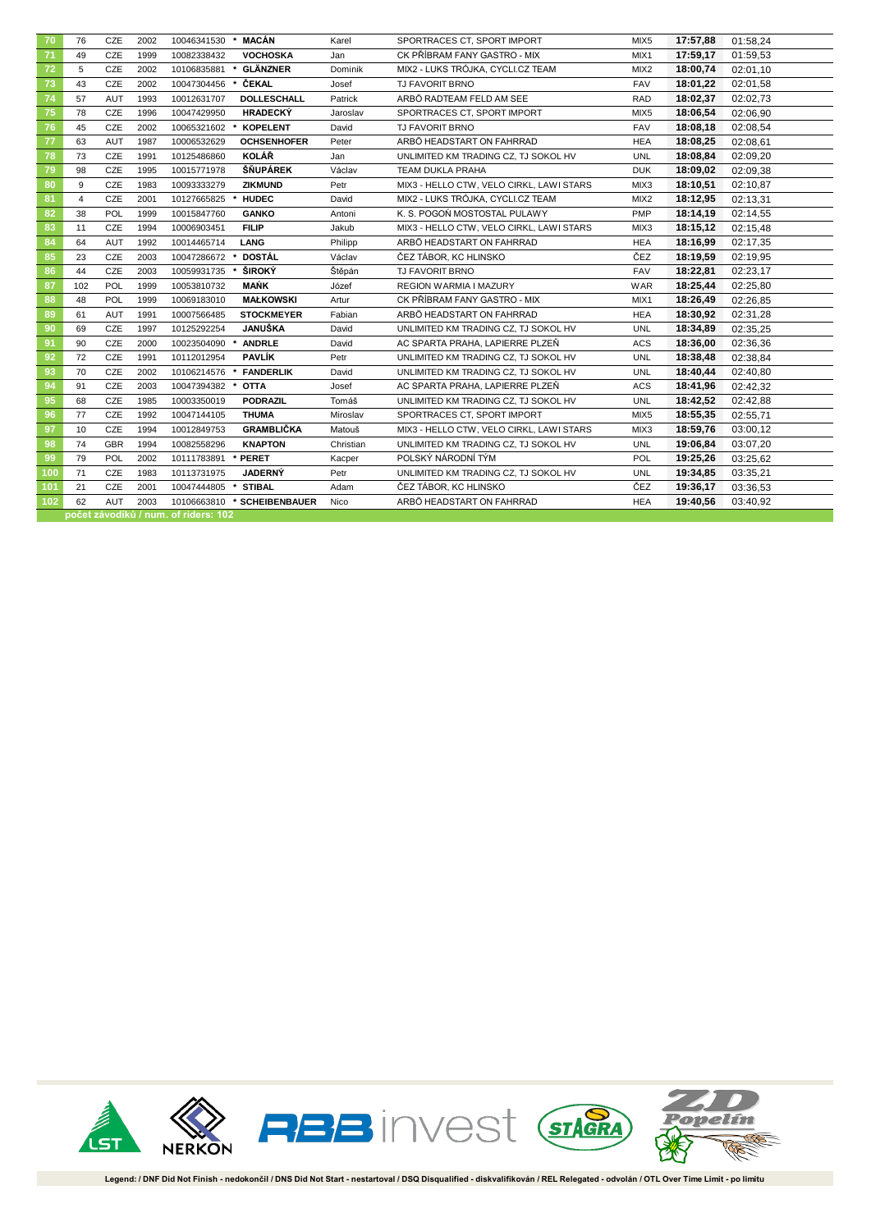| 70  | 76  | CZE        | 2002 | 10046341530                          | * MACÁN            | Karel     | SPORTRACES CT, SPORT IMPORT              | MIX <sub>5</sub> | 17:57,88 | 01:58,24 |
|-----|-----|------------|------|--------------------------------------|--------------------|-----------|------------------------------------------|------------------|----------|----------|
| 71  | 49  | CZE        | 1999 | 10082338432                          | <b>VOCHOSKA</b>    | Jan       | CK PŘÍBRAM FANY GASTRO - MIX             | MIX <sub>1</sub> | 17:59,17 | 01:59,53 |
| 72  | 5   | CZE        | 2002 | 10106835881                          | GLÄNZNER           | Dominik   | MIX2 - LUKS TRÓJKA, CYCLI.CZ TEAM        | MIX2             | 18:00,74 | 02:01,10 |
| 73  | 43  | CZE        | 2002 | 10047304456                          | ČEKAL              | Josef     | TJ FAVORIT BRNO                          | FAV              | 18:01,22 | 02:01.58 |
| 74  | 57  | <b>AUT</b> | 1993 | 10012631707                          | <b>DOLLESCHALL</b> | Patrick   | ARBÖ RADTEAM FELD AM SEE                 | <b>RAD</b>       | 18:02.37 | 02:02,73 |
| 75  | 78  | CZE        | 1996 | 10047429950                          | <b>HRADECKÝ</b>    | Jaroslav  | SPORTRACES CT, SPORT IMPORT              | MIX <sub>5</sub> | 18:06,54 | 02:06,90 |
| 76  | 45  | CZE        | 2002 | 10065321602                          | <b>KOPELENT</b>    | David     | TJ FAVORIT BRNO                          | FAV              | 18:08,18 | 02:08,54 |
| 77  | 63  | AUT        | 1987 | 10006532629                          | <b>OCHSENHOFER</b> | Peter     | ARBÖ HEADSTART ON FAHRRAD                | <b>HEA</b>       | 18:08,25 | 02:08.61 |
| 78  | 73  | CZE        | 1991 | 10125486860                          | <b>KOLÁŘ</b>       | Jan       | UNLIMITED KM TRADING CZ. TJ SOKOL HV     | UNL              | 18:08.84 | 02:09,20 |
| 79  | 98  | CZE        | 1995 | 10015771978                          | ŠŇUPÁREK           | Václav    | TEAM DUKLA PRAHA                         | <b>DUK</b>       | 18:09,02 | 02:09,38 |
| 80  | 9   | CZE        | 1983 | 10093333279                          | ZIKMUND            | Petr      | MIX3 - HELLO CTW, VELO CIRKL, LAWI STARS | MIX3             | 18:10,51 | 02:10,87 |
| 81  | 4   | CZE        | 2001 | 10127665825                          | <b>HUDEC</b>       | David     | MIX2 - LUKS TRÓJKA, CYCLI.CZ TEAM        | MIX <sub>2</sub> | 18:12,95 | 02:13,31 |
| 82  | 38  | POL        | 1999 | 10015847760                          | <b>GANKO</b>       | Antoni    | K. S. POGOŃ MOSTOSTAL PULAWY             | PMP              | 18:14,19 | 02:14,55 |
| 83  | 11  | CZE        | 1994 | 10006903451                          | <b>FILIP</b>       | Jakub     | MIX3 - HELLO CTW, VELO CIRKL, LAWI STARS | MIX3             | 18:15,12 | 02:15,48 |
| 84  | 64  | AUT        | 1992 | 10014465714                          | LANG               | Philipp   | ARBÖ HEADSTART ON FAHRRAD                | <b>HEA</b>       | 18:16,99 | 02:17,35 |
| 85  | 23  | CZE        | 2003 | 10047286672                          | DOSTÁL             | Václav    | ČEZ TÁBOR, KC HLINSKO                    | ČEZ              | 18:19,59 | 02:19,95 |
| 86  | 44  | CZE        | 2003 | 10059931735                          | ŠIROKÝ             | Štěpán    | TJ FAVORIT BRNO                          | <b>FAV</b>       | 18:22,81 | 02:23,17 |
| 87  | 102 | POL        | 1999 | 10053810732                          | <b>MAŃK</b>        | Józef     | REGION WARMIA I MAZURY                   | WAR              | 18:25,44 | 02:25,80 |
| 88  | 48  | POL        | 1999 | 10069183010                          | <b>MAŁKOWSKI</b>   | Artur     | CK PŘÍBRAM FANY GASTRO - MIX             | MIX1             | 18:26,49 | 02:26,85 |
| 89  | 61  | AUT        | 1991 | 10007566485                          | <b>STOCKMEYER</b>  | Fabian    | ARBÖ HEADSTART ON FAHRRAD                | <b>HEA</b>       | 18:30,92 | 02:31,28 |
| 90  | 69  | CZE        | 1997 | 10125292254                          | JANUŠKA            | David     | UNLIMITED KM TRADING CZ, TJ SOKOL HV     | <b>UNL</b>       | 18:34,89 | 02:35,25 |
| 91  | 90  | CZE        | 2000 | 10023504090                          | <b>ANDRLE</b>      | David     | AC SPARTA PRAHA, LAPIERRE PLZEŇ          | ACS              | 18:36,00 | 02:36,36 |
| 92  | 72  | CZE        | 1991 | 10112012954                          | PAVLÍK             | Petr      | UNLIMITED KM TRADING CZ, TJ SOKOL HV     | <b>UNL</b>       | 18:38,48 | 02:38,84 |
| 93  | 70  | CZE        | 2002 | 10106214576                          | <b>FANDERLIK</b>   | David     | UNLIMITED KM TRADING CZ, TJ SOKOL HV     | <b>UNL</b>       | 18:40,44 | 02:40,80 |
| 94  | 91  | CZE        | 2003 | 10047394382                          | <b>OTTA</b>        | Josef     | AC SPARTA PRAHA, LAPIERRE PLZEŇ          | ACS              | 18:41,96 | 02:42,32 |
| 95  | 68  | CZE        | 1985 | 10003350019                          | <b>PODRAZIL</b>    | Tomáš     | UNLIMITED KM TRADING CZ, TJ SOKOL HV     | <b>UNL</b>       | 18:42,52 | 02:42,88 |
| 96  | 77  | CZE        | 1992 | 10047144105                          | <b>THUMA</b>       | Miroslav  | SPORTRACES CT, SPORT IMPORT              | MIX <sub>5</sub> | 18:55,35 | 02:55,71 |
| 97  | 10  | CZE        | 1994 | 10012849753                          | <b>GRAMBLIČKA</b>  | Matouš    | MIX3 - HELLO CTW, VELO CIRKL, LAWI STARS | MIX3             | 18:59,76 | 03:00,12 |
| 98  | 74  | <b>GBR</b> | 1994 | 10082558296                          | <b>KNAPTON</b>     | Christian | UNLIMITED KM TRADING CZ, TJ SOKOL HV     | <b>UNL</b>       | 19:06,84 | 03:07,20 |
| 99  | 79  | POL        | 2002 | 10111783891                          | * PERET            | Kacper    | POLSKÝ NÁRODNÍ TÝM                       | POL              | 19:25,26 | 03:25,62 |
| 100 | 71  | CZE        | 1983 | 10113731975                          | <b>JADERNÝ</b>     | Petr      | UNLIMITED KM TRADING CZ, TJ SOKOL HV     | <b>UNL</b>       | 19:34,85 | 03:35,21 |
| 101 | 21  | CZE        | 2001 | 10047444805                          | <b>STIBAL</b>      | Adam      | ČEZ TÁBOR, KC HLINSKO                    | ČEZ              | 19:36,17 | 03:36,53 |
| 102 | 62  | AUT        | 2003 | 10106663810                          | * SCHEIBENBAUER    | Nico      | ARBÖ HEADSTART ON FAHRRAD                | <b>HEA</b>       | 19:40,56 | 03:40,92 |
|     |     |            |      | počet závodíků / num. of riders: 102 |                    |           |                                          |                  |          |          |

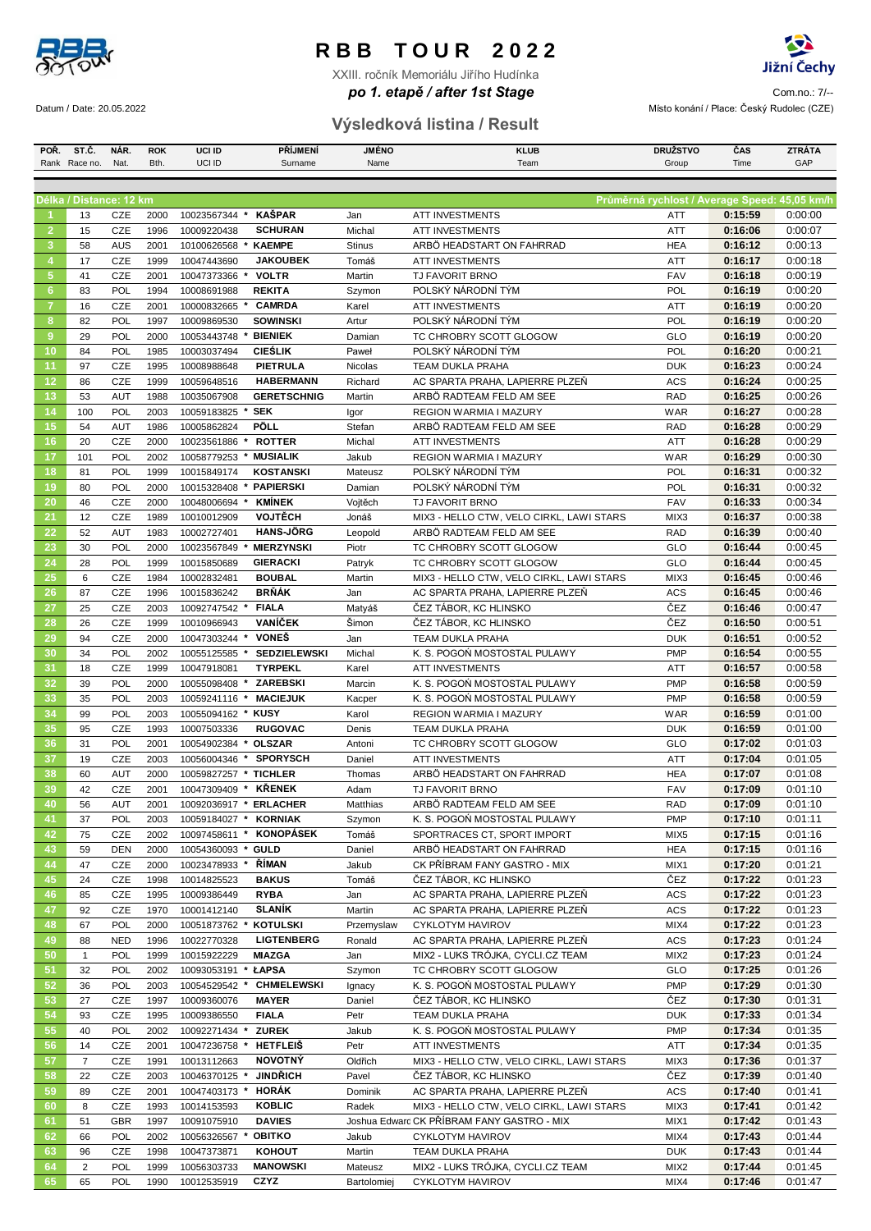

XXIII. ročník Memoriálu Jiřího Hudínka



A1 Com.no.: 7/-- *po 1. etapě / after 1st Stage* Datum / Date: 20.05.2022 Místo konání / Place: Český Rudolec (CZE)

### **Výsledková listina / Result**

| POR.           | ST.C.                   | NAR.       | <b>ROK</b> | <b>UCI ID</b>                      | <b>PRIJMENI</b>     | <b>JMENO</b>  | <b>KLUB</b>                                | <b>DRUZSTVO</b>                               | CAS     | ZTRATA  |
|----------------|-------------------------|------------|------------|------------------------------------|---------------------|---------------|--------------------------------------------|-----------------------------------------------|---------|---------|
|                | Rank Race no.           | Nat.       | Bth.       | UCI ID                             | Surname             | Name          | Team                                       | Group                                         | Time    | GAP     |
|                |                         |            |            |                                    |                     |               |                                            |                                               |         |         |
|                |                         |            |            |                                    |                     |               |                                            |                                               |         |         |
|                | Délka / Distance: 12 km |            |            |                                    |                     |               |                                            | Průměrná rychlost / Average Speed: 45,05 km/h |         |         |
| -1             | 13                      | CZE        | 2000       | 10023567344<br>$\boldsymbol{\ast}$ | <b>KAŠPAR</b>       | Jan           | ATT INVESTMENTS                            | ATT                                           | 0:15:59 | 0:00:00 |
| $\overline{2}$ | 15                      | CZE        |            | 10009220438                        | <b>SCHURAN</b>      |               | <b>ATT INVESTMENTS</b>                     |                                               | 0:16:06 | 0:00:07 |
|                |                         |            | 1996       |                                    |                     | Michal        |                                            | ATT                                           |         |         |
| 3              | 58                      | <b>AUS</b> | 2001       | 10100626568<br>$\ast$              | <b>KAEMPE</b>       | <b>Stinus</b> | ARBÖ HEADSTART ON FAHRRAD                  | <b>HEA</b>                                    | 0:16:12 | 0:00:13 |
| $\overline{4}$ | 17                      | CZE        | 1999       | 10047443690                        | <b>JAKOUBEK</b>     | Tomáš         | <b>ATT INVESTMENTS</b>                     | <b>ATT</b>                                    | 0:16:17 | 0:00:18 |
| $\sqrt{5}$     | 41                      | CZE        | 2001       | 10047373366<br>$\star$             | <b>VOLTR</b>        | Martin        | <b>TJ FAVORIT BRNO</b>                     | <b>FAV</b>                                    | 0:16:18 | 0:00:19 |
| 6              | 83                      | POL        | 1994       | 10008691988                        | <b>REKITA</b>       | Szymon        | POLSKÝ NÁRODNÍ TÝM                         | POL                                           | 0:16:19 | 0:00:20 |
|                |                         |            |            |                                    |                     |               |                                            |                                               |         |         |
| $\overline{7}$ | 16                      | CZE        | 2001       | 10000832665<br>$\star$             | <b>CAMRDA</b>       | Karel         | <b>ATT INVESTMENTS</b>                     | <b>ATT</b>                                    | 0:16:19 | 0:00:20 |
| 8              | 82                      | POL        | 1997       | 10009869530                        | <b>SOWINSKI</b>     | Artur         | POLSKÝ NÁRODNÍ TÝM                         | POL                                           | 0:16:19 | 0:00:20 |
| 9              | 29                      | POL        | 2000       | 10053443748                        | <b>BIENIEK</b>      | Damian        | TC CHROBRY SCOTT GLOGOW                    | GLO                                           | 0:16:19 | 0:00:20 |
| 10             | 84                      | POL        | 1985       | 10003037494                        | <b>CIEŚLIK</b>      | Paweł         | POLSKÝ NÁRODNÍ TÝM                         | <b>POL</b>                                    | 0:16:20 | 0:00:21 |
| 11             | 97                      | CZE        | 1995       | 10008988648                        | PIETRULA            | Nicolas       | TEAM DUKLA PRAHA                           | <b>DUK</b>                                    | 0:16:23 | 0:00:24 |
|                |                         |            |            |                                    |                     |               |                                            |                                               |         |         |
| 12             | 86                      | CZE        | 1999       | 10059648516                        | <b>HABERMANN</b>    | Richard       | AC SPARTA PRAHA, LAPIERRE PLZEŇ            | <b>ACS</b>                                    | 0:16:24 | 0:00:25 |
| 13             | 53                      | <b>AUT</b> | 1988       | 10035067908                        | <b>GERETSCHNIG</b>  | Martin        | ARBÖ RADTEAM FELD AM SEE                   | <b>RAD</b>                                    | 0:16:25 | 0:00:26 |
| 14             | 100                     | POL        | 2003       | 10059183825 * SEK                  |                     | Igor          | REGION WARMIA I MAZURY                     | <b>WAR</b>                                    | 0:16:27 | 0:00:28 |
| 15             | 54                      | <b>AUT</b> | 1986       | 10005862824                        | PÖLL                | Stefan        | ARBÖ RADTEAM FELD AM SEE                   | <b>RAD</b>                                    | 0:16:28 | 0:00:29 |
|                |                         |            |            |                                    |                     |               |                                            |                                               |         |         |
| 16             | 20                      | <b>CZE</b> | 2000       | 10023561886<br>*                   | <b>ROTTER</b>       | Michal        | <b>ATT INVESTMENTS</b>                     | ATT                                           | 0:16:28 | 0:00:29 |
| 17             | 101                     | POL        | 2002       | 10058779253<br>$\pmb{\ast}$        | <b>MUSIALIK</b>     | Jakub         | REGION WARMIA I MAZURY                     | <b>WAR</b>                                    | 0:16:29 | 0:00:30 |
| 18             | 81                      | POL        | 1999       | 10015849174                        | <b>KOSTANSKI</b>    | Mateusz       | POLSKÝ NÁRODNÍ TÝM                         | <b>POL</b>                                    | 0:16:31 | 0:00:32 |
| 19             | 80                      | POL        | 2000       | 10015328408<br>*                   | <b>PAPIERSKI</b>    | Damian        | POLSKÝ NÁRODNÍ TÝM                         | POL                                           | 0:16:31 | 0:00:32 |
| 20             | 46                      | CZE        | 2000       | 10048006694                        | <b>KMÍNEK</b>       | Vojtěch       | <b>TJ FAVORIT BRNO</b>                     | <b>FAV</b>                                    | 0:16:33 | 0:00:34 |
| 21             | 12                      | CZE        |            |                                    | <b>VOJTĚCH</b>      |               | MIX3 - HELLO CTW, VELO CIRKL, LAWI STARS   |                                               | 0:16:37 | 0:00:38 |
|                |                         |            | 1989       | 10010012909                        |                     | Jonáš         |                                            | MIX3                                          |         |         |
| 22             | 52                      | <b>AUT</b> | 1983       | 10002727401                        | <b>HANS-JÖRG</b>    | Leopold       | ARBÖ RADTEAM FELD AM SEE                   | <b>RAD</b>                                    | 0:16:39 | 0:00:40 |
| 23             | 30                      | POL        | 2000       | 10023567849<br>$\star$             | <b>MIERZYNSKI</b>   | Piotr         | TC CHROBRY SCOTT GLOGOW                    | GLO                                           | 0:16:44 | 0:00:45 |
| 24             | 28                      | POL        | 1999       | 10015850689                        | <b>GIERACKI</b>     | Patryk        | TC CHROBRY SCOTT GLOGOW                    | GLO                                           | 0:16:44 | 0:00:45 |
| 25             | 6                       | CZE        | 1984       | 10002832481                        | <b>BOUBAL</b>       | Martin        | MIX3 - HELLO CTW, VELO CIRKL, LAWI STARS   | MIX <sub>3</sub>                              | 0:16:45 | 0:00:46 |
|                |                         |            |            |                                    |                     |               |                                            |                                               |         |         |
| 26             | 87                      | CZE        | 1996       | 10015836242                        | <b>BRŇÁK</b>        | Jan           | AC SPARTA PRAHA, LAPIERRE PLZEŇ            | <b>ACS</b>                                    | 0:16:45 | 0:00:46 |
| 27             | 25                      | CZE        | 2003       | 10092747542<br>$\ast$              | <b>FIALA</b>        | Matyáš        | ČEZ TÁBOR, KC HLINSKO                      | ČEZ                                           | 0:16:46 | 0:00:47 |
| 28             | 26                      | CZE        | 1999       | 10010966943                        | <b>VANÍČEK</b>      | Šimon         | ČEZ TÁBOR, KC HLINSKO                      | ČEZ                                           | 0:16:50 | 0:00:51 |
| 29             | 94                      | CZE        | 2000       | 10047303244<br>$\pmb{\ast}$        | <b>VONEŠ</b>        | Jan           | TEAM DUKLA PRAHA                           | <b>DUK</b>                                    | 0:16:51 | 0:00:52 |
| 30             | 34                      | POL        | 2002       | 10055125585 *                      | <b>SEDZIELEWSKI</b> | Michal        | K. S. POGOŃ MOSTOSTAL PULAWY               | <b>PMP</b>                                    | 0:16:54 | 0:00:55 |
|                |                         |            |            |                                    |                     |               |                                            |                                               |         |         |
| 31             | 18                      | <b>CZE</b> | 1999       | 10047918081                        | <b>TYRPEKL</b>      | Karel         | <b>ATT INVESTMENTS</b>                     | ATT                                           | 0:16:57 | 0:00:58 |
| 32             | 39                      | POL        | 2000       | 10055098408 * ZAREBSKI             |                     | Marcin        | K. S. POGOŃ MOSTOSTAL PULAWY               | <b>PMP</b>                                    | 0:16:58 | 0:00:59 |
| 33             | 35                      | POL        | 2003       | 10059241116                        | <b>MACIEJUK</b>     | Kacper        | K. S. POGOŃ MOSTOSTAL PULAWY               | <b>PMP</b>                                    | 0:16:58 | 0:00:59 |
| 34             | 99                      | POL        | 2003       | 10055094162<br>$\pmb{\ast}$        | <b>KUSY</b>         | Karol         | REGION WARMIA I MAZURY                     | <b>WAR</b>                                    | 0:16:59 | 0:01:00 |
| 35             | 95                      | <b>CZE</b> | 1993       | 10007503336                        | <b>RUGOVAC</b>      | Denis         | TEAM DUKLA PRAHA                           | <b>DUK</b>                                    | 0:16:59 | 0:01:00 |
|                |                         |            |            |                                    |                     |               |                                            |                                               |         |         |
| 36             | 31                      | POL        | 2001       | 10054902384 * OLSZAR               |                     | Antoni        | TC CHROBRY SCOTT GLOGOW                    | GLO                                           | 0:17:02 | 0:01:03 |
| 37             | 19                      | CZE        | 2003       | 10056004346<br>$\star$             | <b>SPORYSCH</b>     | Daniel        | <b>ATT INVESTMENTS</b>                     | ATT                                           | 0:17:04 | 0:01:05 |
| 38             | 60                      | <b>AUT</b> | 2000       | 10059827257 * TICHLER              |                     | Thomas        | ARBÖ HEADSTART ON FAHRRAD                  | <b>HEA</b>                                    | 0:17:07 | 0:01:08 |
| 39             | 42                      | CZE        | 2001       | 10047309409 * KŘENEK               |                     | Adam          | <b>TJ FAVORIT BRNO</b>                     | <b>FAV</b>                                    | 0:17:09 | 0:01:10 |
| 40             | 56                      | AUT        | 2001       | 10092036917 * ERLACHER             |                     | Matthias      | ARBÖ RADTEAM FELD AM SEE                   | <b>RAD</b>                                    | 0:17:09 | 0:01:10 |
|                |                         |            |            |                                    |                     |               |                                            |                                               |         |         |
| 41             | 37                      | <b>POL</b> | 2003       | 10059184027 * KORNIAK              |                     | Szymon        | K. S. POGOŃ MOSTOSTAL PULAWY               | <b>PMP</b>                                    | 0:17:10 | 0:01:11 |
| 42             | 75                      | CZE        | 2002       | 10097458611 *                      | <b>KONOPÁSEK</b>    | Tomáš         | SPORTRACES CT, SPORT IMPORT                | MIX5                                          | 0:17:15 | 0:01:16 |
| 43             | 59                      | <b>DEN</b> | 2000       | 10054360093 * GULD                 |                     | Daniel        | ARBÖ HEADSTART ON FAHRRAD                  | <b>HEA</b>                                    | 0:17:15 | 0:01:16 |
| 44             | 47                      | CZE        | 2000       | 10023478933<br>$\boldsymbol{\ast}$ | ŘÍMAN               | Jakub         | CK PŘÍBRAM FANY GASTRO - MIX               | MIX1                                          | 0:17:20 | 0:01:21 |
| 45             | 24                      | CZE        | 1998       | 10014825523                        | <b>BAKUS</b>        | Tomáš         | ČEZ TÁBOR, KC HLINSKO                      | ČEZ                                           | 0:17:22 | 0:01:23 |
| 46             | 85                      | CZE        | 1995       | 10009386449                        | <b>RYBA</b>         | Jan           | AC SPARTA PRAHA, LAPIERRE PLZEŇ            | <b>ACS</b>                                    | 0:17:22 | 0:01:23 |
|                |                         |            |            |                                    |                     |               |                                            |                                               |         |         |
| 47             | 92                      | CZE        | 1970       | 10001412140                        | <b>SLANIK</b>       | Martin        | AC SPARTA PRAHA, LAPIERRE PLZEŇ            | <b>ACS</b>                                    | 0:17:22 | 0:01:23 |
| 48             | 67                      | POL        | 2000       | 10051873762 *                      | <b>KOTULSKI</b>     | Przemyslaw    | CYKLOTYM HAVIROV                           | MIX4                                          | 0:17:22 | 0:01:23 |
| 49             | 88                      | <b>NED</b> | 1996       | 10022770328                        | <b>LIGTENBERG</b>   | Ronald        | AC SPARTA PRAHA, LAPIERRE PLZEŇ            | <b>ACS</b>                                    | 0:17:23 | 0:01:24 |
| 50             | $\mathbf{1}$            | POL        | 1999       | 10015922229                        | <b>MIAZGA</b>       | Jan           | MIX2 - LUKS TRÓJKA, CYCLI.CZ TEAM          | MIX <sub>2</sub>                              | 0:17:23 | 0:01:24 |
| 51             | 32                      | POL        | 2002       | 10093053191                        | * ŁAPSA             | Szymon        | TC CHROBRY SCOTT GLOGOW                    | GLO                                           | 0:17:25 | 0:01:26 |
|                |                         |            |            |                                    |                     |               |                                            |                                               |         |         |
| 52             | 36                      | POL        | 2003       | 10054529542 *                      | <b>CHMIELEWSKI</b>  | Ignacy        | K. S. POGOŃ MOSTOSTAL PULAWY               | <b>PMP</b>                                    | 0:17:29 | 0:01:30 |
| 53             | 27                      | CZE        | 1997       | 10009360076                        | <b>MAYER</b>        | Daniel        | ČEZ TÁBOR, KC HLINSKO                      | ČEZ                                           | 0:17:30 | 0:01:31 |
| 54             | 93                      | CZE        | 1995       | 10009386550                        | <b>FIALA</b>        | Petr          | TEAM DUKLA PRAHA                           | <b>DUK</b>                                    | 0:17:33 | 0:01:34 |
| 55             | 40                      | POL        | 2002       | 10092271434 *                      | <b>ZUREK</b>        | Jakub         | K. S. POGOŃ MOSTOSTAL PULAWY               | <b>PMP</b>                                    | 0:17:34 | 0:01:35 |
| 56             | 14                      | CZE        | 2001       | 10047236758 *                      | <b>HETFLEIS</b>     | Petr          | ATT INVESTMENTS                            | ATT                                           | 0:17:34 | 0:01:35 |
|                |                         |            |            |                                    |                     |               |                                            |                                               |         |         |
| 57             | $\overline{7}$          | CZE        | 1991       | 10013112663                        | <b>NOVOTNÝ</b>      | Oldřich       | MIX3 - HELLO CTW, VELO CIRKL, LAWI STARS   | MIX3                                          | 0:17:36 | 0:01:37 |
| 58             | 22                      | CZE        | 2003       | 10046370125 *                      | <b>JINDRICH</b>     | Pavel         | ČEZ TÁBOR, KC HLINSKO                      | ČEZ                                           | 0:17:39 | 0:01:40 |
| 59             | 89                      | CZE        | 2001       | 10047403173 *                      | HORÁK               | Dominik       | AC SPARTA PRAHA, LAPIERRE PLZEŇ            | <b>ACS</b>                                    | 0:17:40 | 0:01:41 |
| 60             | 8                       | CZE        | 1993       | 10014153593                        | KOBLIC              | Radek         | MIX3 - HELLO CTW, VELO CIRKL, LAWI STARS   | MIX3                                          | 0:17:41 | 0:01:42 |
| 61             | 51                      | <b>GBR</b> | 1997       |                                    | <b>DAVIES</b>       |               | Joshua Edward CK PŘÍBRAM FANY GASTRO - MIX |                                               | 0:17:42 | 0:01:43 |
|                |                         |            |            | 10091075910                        |                     |               |                                            | MIX1                                          |         |         |
| 62             | 66                      | POL        | 2002       | 10056326567 *                      | <b>OBITKO</b>       | Jakub         | CYKLOTYM HAVIROV                           | MIX4                                          | 0:17:43 | 0:01:44 |
| 63             | 96                      | CZE        | 1998       | 10047373871                        | <b>KOHOUT</b>       | Martin        | TEAM DUKLA PRAHA                           | <b>DUK</b>                                    | 0:17:43 | 0:01:44 |
| 64             | $\overline{2}$          | POL        | 1999       | 10056303733                        | <b>MANOWSKI</b>     | Mateusz       | MIX2 - LUKS TRÓJKA, CYCLI.CZ TEAM          | MIX <sub>2</sub>                              | 0:17:44 | 0:01:45 |
| 65             | 65                      | POL        |            | 1990 10012535919                   | CZYZ                | Bartolomiej   | CYKLOTYM HAVIROV                           | MIX4                                          | 0:17:46 | 0:01:47 |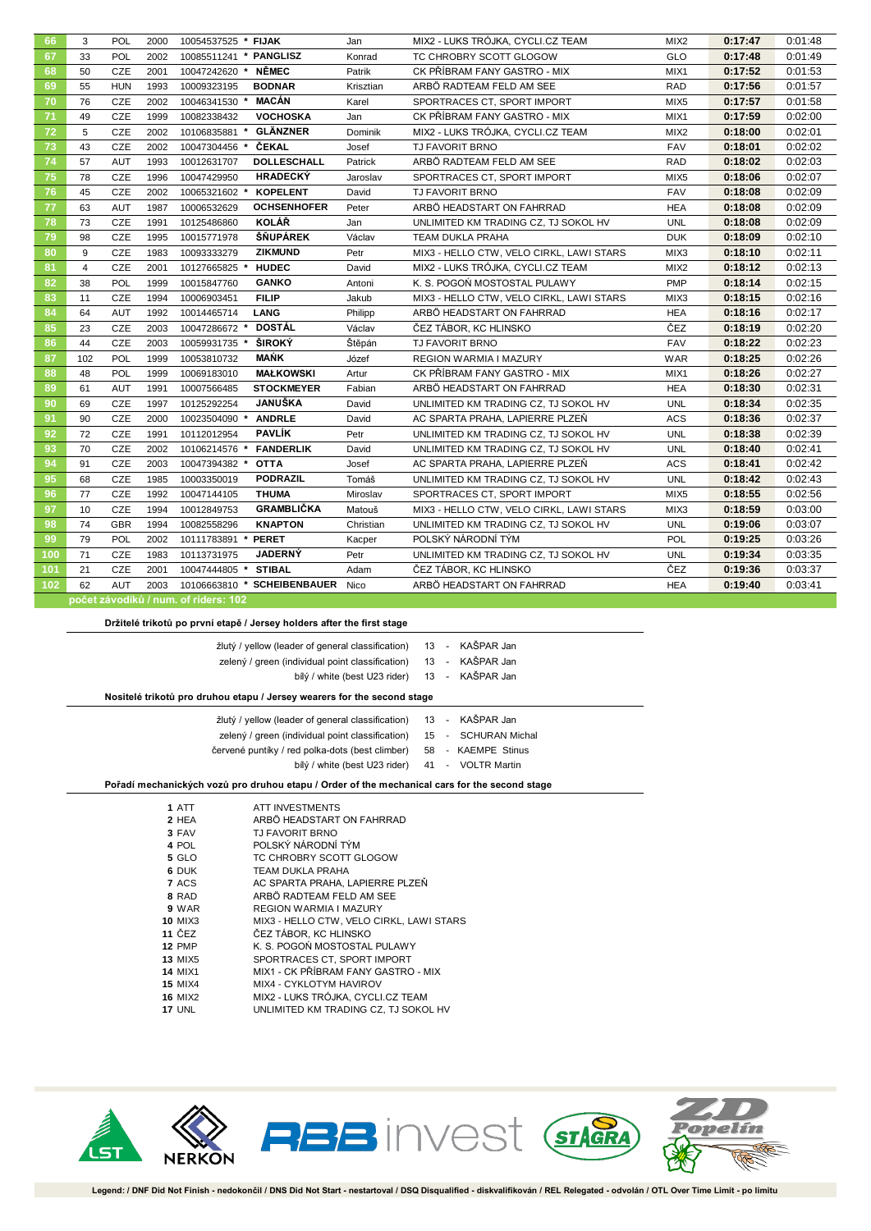| 67<br>33<br>POL<br>2002<br>10085511241 * PANGLISZ<br>TC CHROBRY SCOTT GLOGOW<br><b>GLO</b><br>0:17:48<br>Konrad<br><b>NĚMEC</b><br>68<br>CZE<br>CK PŘÍBRAM FANY GASTRO - MIX<br>0:17:52<br>50<br>2001<br>10047242620 *<br>Patrik<br>MIX1<br><b>BODNAR</b><br>0:17:56<br>69<br>55<br><b>HUN</b><br>ARBÖ RADTEAM FELD AM SEE<br><b>RAD</b><br>1993<br>10009323195<br>Krisztian<br><b>MACÁN</b><br>70<br>76<br>CZE<br>0:17:57<br>2002<br>10046341530 *<br>SPORTRACES CT, SPORT IMPORT<br>MIX <sub>5</sub><br>Karel<br>71<br><b>VOCHOSKA</b><br>CK PŘÍBRAM FANY GASTRO - MIX<br>0:17:59<br>49<br><b>CZE</b><br>1999<br>10082338432<br>Jan<br>MIX1<br>72<br>5<br>CZE<br><b>GLÄNZNER</b><br>0:18:00<br>2002<br>MIX2 - LUKS TRÓJKA, CYCLI.CZ TEAM<br>MIX <sub>2</sub><br>10106835881 *<br>Dominik<br>73<br><b>ČEKAL</b><br>43<br><b>CZE</b><br>2002<br><b>FAV</b><br>0:18:01<br>10047304456 *<br>Josef<br>TJ FAVORIT BRNO<br>74<br>57<br>ARBÖ RADTEAM FELD AM SEE<br>0:18:02<br><b>AUT</b><br>1993<br><b>DOLLESCHALL</b><br><b>RAD</b><br>10012631707<br>Patrick<br>75<br>78<br><b>HRADECKÝ</b><br><b>CZE</b><br>1996<br>0:18:06<br>10047429950<br>SPORTRACES CT, SPORT IMPORT<br>MIX <sub>5</sub><br>Jaroslav<br>76<br>CZE<br>0:18:08<br>45<br>2002<br><b>KOPELENT</b><br>TJ FAVORIT BRNO<br><b>FAV</b><br>10065321602 *<br>David<br><b>OCHSENHOFER</b><br>77<br>63<br><b>AUT</b><br>ARBÖ HEADSTART ON FAHRRAD<br>0:18:08<br>1987<br>10006532629<br><b>HEA</b><br>Peter<br>78<br>CZE<br><b>KOLÁŘ</b><br>0:18:08<br>73<br>1991<br>10125486860<br>UNLIMITED KM TRADING CZ, TJ SOKOL HV<br><b>UNL</b><br>Jan | 0:17:47<br>0:01:48 |
|-----------------------------------------------------------------------------------------------------------------------------------------------------------------------------------------------------------------------------------------------------------------------------------------------------------------------------------------------------------------------------------------------------------------------------------------------------------------------------------------------------------------------------------------------------------------------------------------------------------------------------------------------------------------------------------------------------------------------------------------------------------------------------------------------------------------------------------------------------------------------------------------------------------------------------------------------------------------------------------------------------------------------------------------------------------------------------------------------------------------------------------------------------------------------------------------------------------------------------------------------------------------------------------------------------------------------------------------------------------------------------------------------------------------------------------------------------------------------------------------------------------------------------------------------------------------------------------------------------|--------------------|
|                                                                                                                                                                                                                                                                                                                                                                                                                                                                                                                                                                                                                                                                                                                                                                                                                                                                                                                                                                                                                                                                                                                                                                                                                                                                                                                                                                                                                                                                                                                                                                                                     | 0:01:49            |
|                                                                                                                                                                                                                                                                                                                                                                                                                                                                                                                                                                                                                                                                                                                                                                                                                                                                                                                                                                                                                                                                                                                                                                                                                                                                                                                                                                                                                                                                                                                                                                                                     | 0:01:53            |
|                                                                                                                                                                                                                                                                                                                                                                                                                                                                                                                                                                                                                                                                                                                                                                                                                                                                                                                                                                                                                                                                                                                                                                                                                                                                                                                                                                                                                                                                                                                                                                                                     | 0:01:57            |
|                                                                                                                                                                                                                                                                                                                                                                                                                                                                                                                                                                                                                                                                                                                                                                                                                                                                                                                                                                                                                                                                                                                                                                                                                                                                                                                                                                                                                                                                                                                                                                                                     | 0:01:58            |
|                                                                                                                                                                                                                                                                                                                                                                                                                                                                                                                                                                                                                                                                                                                                                                                                                                                                                                                                                                                                                                                                                                                                                                                                                                                                                                                                                                                                                                                                                                                                                                                                     | 0:02:00            |
|                                                                                                                                                                                                                                                                                                                                                                                                                                                                                                                                                                                                                                                                                                                                                                                                                                                                                                                                                                                                                                                                                                                                                                                                                                                                                                                                                                                                                                                                                                                                                                                                     | 0:02:01            |
|                                                                                                                                                                                                                                                                                                                                                                                                                                                                                                                                                                                                                                                                                                                                                                                                                                                                                                                                                                                                                                                                                                                                                                                                                                                                                                                                                                                                                                                                                                                                                                                                     | 0:02:02            |
|                                                                                                                                                                                                                                                                                                                                                                                                                                                                                                                                                                                                                                                                                                                                                                                                                                                                                                                                                                                                                                                                                                                                                                                                                                                                                                                                                                                                                                                                                                                                                                                                     | 0:02:03            |
|                                                                                                                                                                                                                                                                                                                                                                                                                                                                                                                                                                                                                                                                                                                                                                                                                                                                                                                                                                                                                                                                                                                                                                                                                                                                                                                                                                                                                                                                                                                                                                                                     | 0:02:07            |
|                                                                                                                                                                                                                                                                                                                                                                                                                                                                                                                                                                                                                                                                                                                                                                                                                                                                                                                                                                                                                                                                                                                                                                                                                                                                                                                                                                                                                                                                                                                                                                                                     | 0:02:09            |
|                                                                                                                                                                                                                                                                                                                                                                                                                                                                                                                                                                                                                                                                                                                                                                                                                                                                                                                                                                                                                                                                                                                                                                                                                                                                                                                                                                                                                                                                                                                                                                                                     | 0:02:09            |
|                                                                                                                                                                                                                                                                                                                                                                                                                                                                                                                                                                                                                                                                                                                                                                                                                                                                                                                                                                                                                                                                                                                                                                                                                                                                                                                                                                                                                                                                                                                                                                                                     | 0:02:09            |
| ŠŇUPÁREK<br>79<br>98<br>CZE<br>0:18:09<br>1995<br>10015771978<br>Václav<br>TEAM DUKLA PRAHA<br><b>DUK</b>                                                                                                                                                                                                                                                                                                                                                                                                                                                                                                                                                                                                                                                                                                                                                                                                                                                                                                                                                                                                                                                                                                                                                                                                                                                                                                                                                                                                                                                                                           | 0:02:10            |
| 80<br>9<br>CZE<br>0:18:10<br>1983<br><b>ZIKMUND</b><br>MIX3 - HELLO CTW, VELO CIRKL, LAWI STARS<br>MIX3<br>10093333279<br>Petr                                                                                                                                                                                                                                                                                                                                                                                                                                                                                                                                                                                                                                                                                                                                                                                                                                                                                                                                                                                                                                                                                                                                                                                                                                                                                                                                                                                                                                                                      | 0:02:11            |
| 81<br><b>HUDEC</b><br>$\overline{4}$<br><b>CZE</b><br>2001<br>MIX2 - LUKS TRÓJKA, CYCLI.CZ TEAM<br>0:18:12<br>10127665825<br>David<br>MIX <sub>2</sub>                                                                                                                                                                                                                                                                                                                                                                                                                                                                                                                                                                                                                                                                                                                                                                                                                                                                                                                                                                                                                                                                                                                                                                                                                                                                                                                                                                                                                                              | 0:02:13            |
| 82<br>POL<br>PMP<br>0:18:14<br>38<br>1999<br><b>GANKO</b><br>K. S. POGOŃ MOSTOSTAL PULAWY<br>10015847760<br>Antoni                                                                                                                                                                                                                                                                                                                                                                                                                                                                                                                                                                                                                                                                                                                                                                                                                                                                                                                                                                                                                                                                                                                                                                                                                                                                                                                                                                                                                                                                                  | 0:02:15            |
| 83<br><b>FILIP</b><br>CZE<br>0:18:15<br>11<br>1994<br>10006903451<br>Jakub<br>MIX3 - HELLO CTW, VELO CIRKL, LAWI STARS<br>MIX3                                                                                                                                                                                                                                                                                                                                                                                                                                                                                                                                                                                                                                                                                                                                                                                                                                                                                                                                                                                                                                                                                                                                                                                                                                                                                                                                                                                                                                                                      | 0:02:16            |
| 84<br>0:18:16<br>64<br><b>AUT</b><br>1992<br>LANG<br>ARBÖ HEADSTART ON FAHRRAD<br><b>HEA</b><br>10014465714<br>Philipp                                                                                                                                                                                                                                                                                                                                                                                                                                                                                                                                                                                                                                                                                                                                                                                                                                                                                                                                                                                                                                                                                                                                                                                                                                                                                                                                                                                                                                                                              | 0:02:17            |
| 85<br><b>DOSTÁL</b><br>ČEZ<br>23<br>CZE<br>0:18:19<br>2003<br>10047286672 *<br>Václav<br>ČEZ TÁBOR, KC HLINSKO                                                                                                                                                                                                                                                                                                                                                                                                                                                                                                                                                                                                                                                                                                                                                                                                                                                                                                                                                                                                                                                                                                                                                                                                                                                                                                                                                                                                                                                                                      | 0:02:20            |
| ŠIROKÝ<br>86<br>44<br><b>CZE</b><br>2003<br>10059931735<br>Štěpán<br>TJ FAVORIT BRNO<br><b>FAV</b><br>0:18:22                                                                                                                                                                                                                                                                                                                                                                                                                                                                                                                                                                                                                                                                                                                                                                                                                                                                                                                                                                                                                                                                                                                                                                                                                                                                                                                                                                                                                                                                                       | 0:02:23            |
| <b>MAŃK</b><br>87<br>POL<br>0:18:25<br>102<br>1999<br>10053810732<br>Józef<br>REGION WARMIA I MAZURY<br><b>WAR</b>                                                                                                                                                                                                                                                                                                                                                                                                                                                                                                                                                                                                                                                                                                                                                                                                                                                                                                                                                                                                                                                                                                                                                                                                                                                                                                                                                                                                                                                                                  | 0:02:26            |
| 88<br><b>MAŁKOWSKI</b><br>CK PŘÍBRAM FANY GASTRO - MIX<br>0:18:26<br>48<br>POL<br>1999<br>10069183010<br>Artur<br>MIX1                                                                                                                                                                                                                                                                                                                                                                                                                                                                                                                                                                                                                                                                                                                                                                                                                                                                                                                                                                                                                                                                                                                                                                                                                                                                                                                                                                                                                                                                              | 0:02:27            |
| 89<br><b>STOCKMEYER</b><br>0:18:30<br>61<br><b>AUT</b><br>1991<br>10007566485<br>Fabian<br>ARBÖ HEADSTART ON FAHRRAD<br><b>HEA</b>                                                                                                                                                                                                                                                                                                                                                                                                                                                                                                                                                                                                                                                                                                                                                                                                                                                                                                                                                                                                                                                                                                                                                                                                                                                                                                                                                                                                                                                                  | 0:02:31            |
| <b>JANUŠKA</b><br>90<br>0:18:34<br>69<br>CZE<br>1997<br>10125292254<br>David<br>UNLIMITED KM TRADING CZ, TJ SOKOL HV<br><b>UNL</b>                                                                                                                                                                                                                                                                                                                                                                                                                                                                                                                                                                                                                                                                                                                                                                                                                                                                                                                                                                                                                                                                                                                                                                                                                                                                                                                                                                                                                                                                  | 0:02:35            |
| 91<br>90<br>CZE<br>0:18:36<br>2000<br>10023504090 *<br><b>ANDRLE</b><br>David<br>AC SPARTA PRAHA, LAPIERRE PLZEŇ<br><b>ACS</b>                                                                                                                                                                                                                                                                                                                                                                                                                                                                                                                                                                                                                                                                                                                                                                                                                                                                                                                                                                                                                                                                                                                                                                                                                                                                                                                                                                                                                                                                      | 0:02:37            |
| <b>PAVLÍK</b><br>92<br>0:18:38<br>72<br>CZE<br>1991<br>10112012954<br>UNLIMITED KM TRADING CZ, TJ SOKOL HV<br>Petr<br><b>UNL</b>                                                                                                                                                                                                                                                                                                                                                                                                                                                                                                                                                                                                                                                                                                                                                                                                                                                                                                                                                                                                                                                                                                                                                                                                                                                                                                                                                                                                                                                                    | 0:02:39            |
| 93<br>70<br>CZE<br>0:18:40<br>2002<br>10106214576 *<br><b>FANDERLIK</b><br>UNLIMITED KM TRADING CZ, TJ SOKOL HV<br><b>UNL</b><br>David                                                                                                                                                                                                                                                                                                                                                                                                                                                                                                                                                                                                                                                                                                                                                                                                                                                                                                                                                                                                                                                                                                                                                                                                                                                                                                                                                                                                                                                              | 0:02:41            |
| 94<br><b>OTTA</b><br>0:18:41<br>91<br>CZE<br>2003<br>10047394382 *<br>AC SPARTA PRAHA, LAPIERRE PLZEŇ<br><b>ACS</b><br>Josef                                                                                                                                                                                                                                                                                                                                                                                                                                                                                                                                                                                                                                                                                                                                                                                                                                                                                                                                                                                                                                                                                                                                                                                                                                                                                                                                                                                                                                                                        | 0:02:42            |
| 95<br>CZE<br>0:18:42<br>68<br>1985<br>10003350019<br><b>PODRAZIL</b><br>Tomáš<br>UNLIMITED KM TRADING CZ, TJ SOKOL HV<br><b>UNL</b>                                                                                                                                                                                                                                                                                                                                                                                                                                                                                                                                                                                                                                                                                                                                                                                                                                                                                                                                                                                                                                                                                                                                                                                                                                                                                                                                                                                                                                                                 | 0:02:43            |
| <b>THUMA</b><br>0:18:55<br>96<br>77<br>CZE<br>1992<br>10047144105<br>SPORTRACES CT, SPORT IMPORT<br>Miroslav<br>MIX <sub>5</sub>                                                                                                                                                                                                                                                                                                                                                                                                                                                                                                                                                                                                                                                                                                                                                                                                                                                                                                                                                                                                                                                                                                                                                                                                                                                                                                                                                                                                                                                                    | 0:02:56            |
| <b>GRAMBLIČKA</b><br>97<br>CZE<br>0:18:59<br>10<br>1994<br>10012849753<br>Matouš<br>MIX3 - HELLO CTW, VELO CIRKL, LAWI STARS<br>MIX3                                                                                                                                                                                                                                                                                                                                                                                                                                                                                                                                                                                                                                                                                                                                                                                                                                                                                                                                                                                                                                                                                                                                                                                                                                                                                                                                                                                                                                                                | 0:03:00            |
| <b>KNAPTON</b><br>98<br>74<br><b>GBR</b><br>1994<br>UNLIMITED KM TRADING CZ, TJ SOKOL HV<br>0:19:06<br>10082558296<br>Christian<br><b>UNL</b>                                                                                                                                                                                                                                                                                                                                                                                                                                                                                                                                                                                                                                                                                                                                                                                                                                                                                                                                                                                                                                                                                                                                                                                                                                                                                                                                                                                                                                                       | 0:03:07            |
| 99<br>POL<br><b>PERET</b><br>POLSKÝ NÁRODNÍ TÝM<br>0:19:25<br>79<br>2002<br>10111783891 *<br>POL<br>Kacper                                                                                                                                                                                                                                                                                                                                                                                                                                                                                                                                                                                                                                                                                                                                                                                                                                                                                                                                                                                                                                                                                                                                                                                                                                                                                                                                                                                                                                                                                          | 0:03:26            |
| <b>JADERNÝ</b><br>100<br>71<br>CZE<br>UNLIMITED KM TRADING CZ, TJ SOKOL HV<br>0:19:34<br>1983<br>10113731975<br>Petr<br><b>UNL</b>                                                                                                                                                                                                                                                                                                                                                                                                                                                                                                                                                                                                                                                                                                                                                                                                                                                                                                                                                                                                                                                                                                                                                                                                                                                                                                                                                                                                                                                                  | 0:03:35            |
| ČEZ<br>101<br>CZE<br>2001<br><b>STIBAL</b><br>ČEZ TÁBOR, KC HLINSKO<br>0:19:36<br>21<br>10047444805 *<br>Adam                                                                                                                                                                                                                                                                                                                                                                                                                                                                                                                                                                                                                                                                                                                                                                                                                                                                                                                                                                                                                                                                                                                                                                                                                                                                                                                                                                                                                                                                                       | 0:03:37            |
| 102<br>0:19:40<br>62<br><b>AUT</b><br>10106663810 * SCHEIBENBAUER Nico<br>ARBÖ HEADSTART ON FAHRRAD<br><b>HEA</b><br>2003                                                                                                                                                                                                                                                                                                                                                                                                                                                                                                                                                                                                                                                                                                                                                                                                                                                                                                                                                                                                                                                                                                                                                                                                                                                                                                                                                                                                                                                                           | 0:03:41            |

**počet závodíků / num. of riders: 102**

**Držitelé trikotů po první etapě / Jersey holders after the first stage**

| žlutý / yellow (leader of general classification) 13 - KAŠPAR Jan |  |  |
|-------------------------------------------------------------------|--|--|
| zelený / green (individual point classification) 13 - KAŠPAR Jan  |  |  |
| bílý / white (best U23 rider) 13 - KAŠPAR Jan                     |  |  |
|                                                                   |  |  |

**Nositelé trikotů pro druhou etapu / Jersey wearers for the second stage**

- žlutý / yellow (leader of general classification) 13 KAŠPAR Jan
	- zelený / green (individual point classification) 15 SCHURAN Michal
- červené puntíky / red polka-dots (best climber) 58 KAEMPE Stinus
	- bílý / white (best U23 rider) 41 VOLTR Martin

#### **Pořadí mechanických vozů pro druhou etapu / Order of the mechanical cars for the second stage**

| 1 ATT          | ATT INVESTMENTS                          |
|----------------|------------------------------------------|
| 2 HEA          | ARBÖ HEADSTART ON FAHRRAD                |
| 3 FAV          | TJ FAVORIT BRNO                          |
| 4 POL          | POLSKÝ NÁRODNÍ TÝM                       |
|                |                                          |
| 5 GLO          | TC CHROBRY SCOTT GLOGOW                  |
| 6 DUK          | TEAM DUKLA PRAHA                         |
| 7 ACS          | AC SPARTA PRAHA, LAPIERRE PLZEŇ          |
| 8 RAD          | ARBÖ RADTEAM FELD AM SEE                 |
| 9 WAR          | REGION WARMIA I MAZURY                   |
| <b>10 MIX3</b> | MIX3 - HELLO CTW. VELO CIRKL. LAWI STARS |
| 11 ČEZ         | ČEZ TÁBOR. KC HLINSKO                    |
| <b>12 PMP</b>  | K. S. POGOŃ MOSTOSTAL PULAWY             |
| <b>13 MIX5</b> | SPORTRACES CT. SPORT IMPORT              |
| <b>14 MIX1</b> | MIX1 - CK PŘÍBRAM FANY GASTRO - MIX      |
| <b>15 MIX4</b> | MIX4 - CYKLOTYM HAVIROV                  |
| <b>16 MIX2</b> | MIX2 - LUKS TRÓJKA, CYCLI.CZ TEAM        |
| <b>17 UNL</b>  | UNLIMITED KM TRADING CZ, TJ SOKOL HV     |

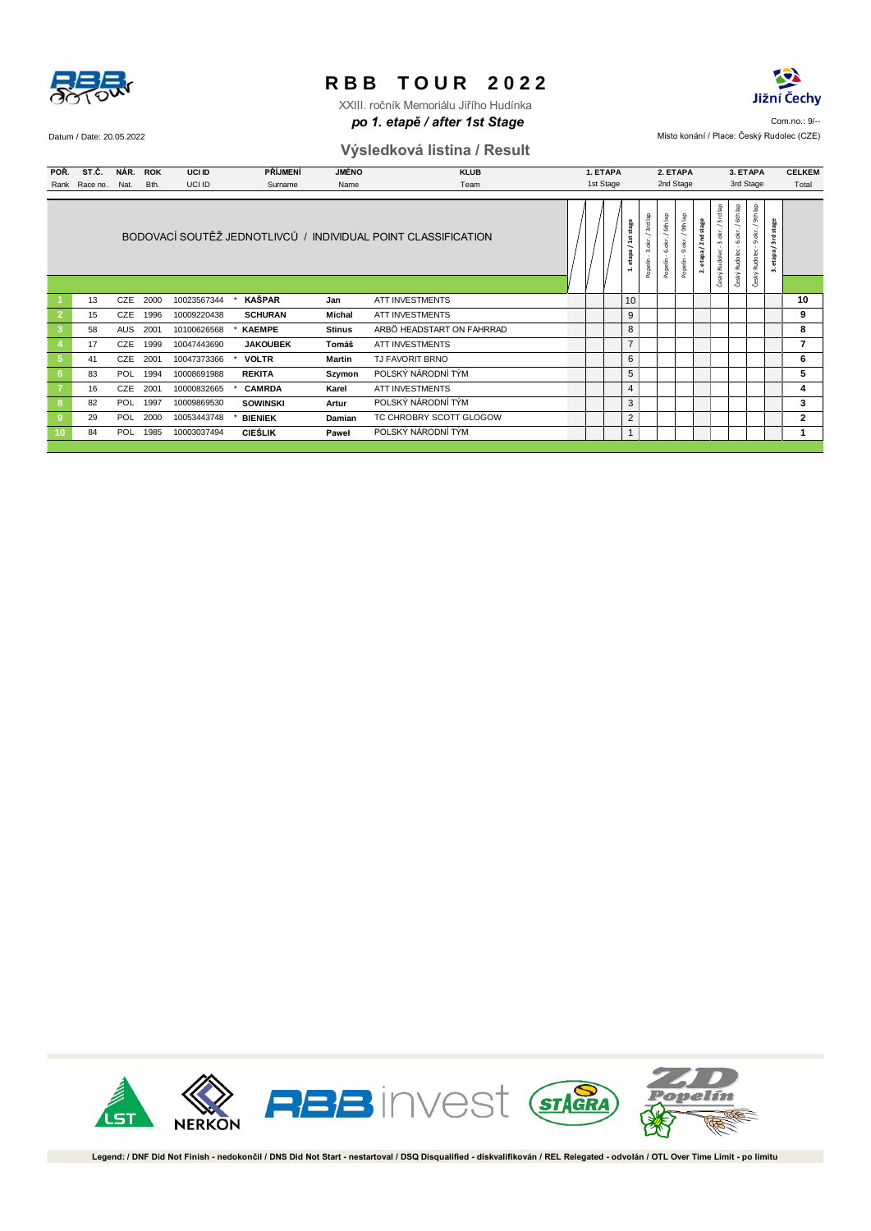

**po 1. etapě / after 1st Stage** and the state of the state of the state of the state of the state of  $9$ XXIII. ročník Memoriálu Jiřího Hudínka

#### Datum / Date: 20.05.2022 Místo konání / Place: Český Rudolec (CZE) **Výsledková listina / Result**

Jižní Čechy

| POŘ.<br>Rank                           | ST.Č.<br>Race no. | <b>PŘÍJMENÍ</b><br><b>JMÉNO</b><br>NÁR. ROK<br><b>UCI ID</b><br>UCI ID<br>Nat.<br>Bth.<br>Surname<br>Name |      |                            | <b>KLUB</b><br>1. ETAPA<br>1st Stage<br>Team |                      |                                                                                                                                                                              |  |  | 2. ETAPA<br>2nd Stage |                           |                            |                            | 3. ETAPA<br>3rd Stage |                                  |                                  | <b>CELKEM</b><br>Total           |                   |  |  |         |
|----------------------------------------|-------------------|-----------------------------------------------------------------------------------------------------------|------|----------------------------|----------------------------------------------|----------------------|------------------------------------------------------------------------------------------------------------------------------------------------------------------------------|--|--|-----------------------|---------------------------|----------------------------|----------------------------|-----------------------|----------------------------------|----------------------------------|----------------------------------|-------------------|--|--|---------|
|                                        |                   | BODOVACÍ SOUTĚŽ JEDNOTLIVCŮ / INDIVIDUAL POINT CLASSIFICATION                                             |      |                            |                                              |                      |                                                                                                                                                                              |  |  | 1. etapa / 1st stage  | Popelín - 3.okr. / 3rdlap | Popelín - 6.okr. / 6th lap | Popelín - 9.okr. / 9th lap | 2. etapa / 2nd stage  | Český Rudolec - 3.okr. / 3rd lap | Český Rudolec - 6.okr. / 6th lap | Český Rudolec - 9.okr. / 9th lap | 3. etapa/3rdstage |  |  |         |
|                                        |                   |                                                                                                           |      |                            |                                              |                      |                                                                                                                                                                              |  |  |                       |                           |                            |                            |                       |                                  |                                  |                                  |                   |  |  |         |
| $\blacktriangleleft$<br>$\overline{2}$ | 13<br>15          | CZE 2000<br>CZE                                                                                           | 1996 | 10023567344<br>10009220438 | KAŠPAR<br>$\pmb{\ast}$<br><b>SCHURAN</b>     | Jan<br><b>Michal</b> | ATT INVESTMENTS<br>ATT INVESTMENTS                                                                                                                                           |  |  |                       |                           | 10<br>9                    |                            |                       |                                  |                                  |                                  |                   |  |  | 10<br>9 |
| $\mathbf{3}$                           | 58                | AUS                                                                                                       | 2001 | 10100626568                | <b>KAEMPE</b>                                | <b>Stinus</b>        | ARBÖ HEADSTART ON FAHRRAD                                                                                                                                                    |  |  |                       |                           | 8                          |                            |                       |                                  |                                  |                                  |                   |  |  | 8       |
| $\overline{4}$                         | 17                | CZE 1999                                                                                                  |      | 10047443690                | <b>JAKOUBEK</b>                              | Tomáš                | ATT INVESTMENTS                                                                                                                                                              |  |  |                       |                           | $\overline{7}$             |                            |                       |                                  |                                  |                                  |                   |  |  | 7       |
| $\sqrt{5}$                             | 41                | CZE                                                                                                       | 2001 | 10047373366                | <b>VOLTR</b>                                 | <b>Martin</b>        | TJ FAVORIT BRNO                                                                                                                                                              |  |  |                       |                           | $\,6$                      |                            |                       |                                  |                                  |                                  |                   |  |  | 6       |
| 6 <sub>6</sub>                         | 83                | POL                                                                                                       | 1994 | 10008691988                | <b>REKITA</b>                                | Szymon               | POLSKÝ NÁRODNÍ TÝM                                                                                                                                                           |  |  |                       |                           | $\,$ 5 $\,$                |                            |                       |                                  |                                  |                                  |                   |  |  | 5       |
| $\overline{7}$                         | 16                | CZE 2001                                                                                                  |      | 10000832665                | <b>CAMRDA</b><br>×                           | Karel                | ATT INVESTMENTS                                                                                                                                                              |  |  |                       |                           | $\overline{4}$             |                            |                       |                                  |                                  |                                  |                   |  |  | 4       |
| 8 <sub>o</sub>                         | 82                | POL                                                                                                       | 1997 | 10009869530                | <b>SOWINSKI</b>                              | Artur                | POLSKÝ NÁRODNÍ TÝM                                                                                                                                                           |  |  |                       |                           | 3                          |                            |                       |                                  |                                  |                                  |                   |  |  | 3       |
| $\boldsymbol{9}$                       | 29                | POL                                                                                                       | 2000 | 10053443748                | <b>BIENIEK</b>                               | Damian               | TC CHROBRY SCOTT GLOGOW                                                                                                                                                      |  |  |                       |                           | $\sqrt{2}$                 |                            |                       |                                  |                                  |                                  |                   |  |  | 2       |
| 10 <sub>1</sub>                        | 84                | POL                                                                                                       | 1985 | 10003037494                | <b>CIEŚLIK</b>                               | Paweł                | POLSKÝ NÁRODNÍ TÝM                                                                                                                                                           |  |  |                       |                           | $\mathbf{1}$               |                            |                       |                                  |                                  |                                  |                   |  |  | 1       |
|                                        |                   |                                                                                                           |      |                            |                                              |                      |                                                                                                                                                                              |  |  |                       |                           |                            |                            |                       |                                  |                                  |                                  |                   |  |  |         |
|                                        |                   | .st                                                                                                       |      | <b>NERKON</b>              |                                              |                      | <b>RBB</b> invest GTAGRA                                                                                                                                                     |  |  |                       |                           |                            |                            |                       |                                  |                                  |                                  |                   |  |  |         |
|                                        |                   |                                                                                                           |      |                            |                                              |                      | Legend: / DNF Did Not Finish - nedokončil / DNS Did Not Start - nestartoval / DSQ Disqualified - diskvalifikován / REL Relegated - odvolán / OTL Over Time Limit - po limitu |  |  |                       |                           |                            |                            |                       |                                  |                                  |                                  |                   |  |  |         |

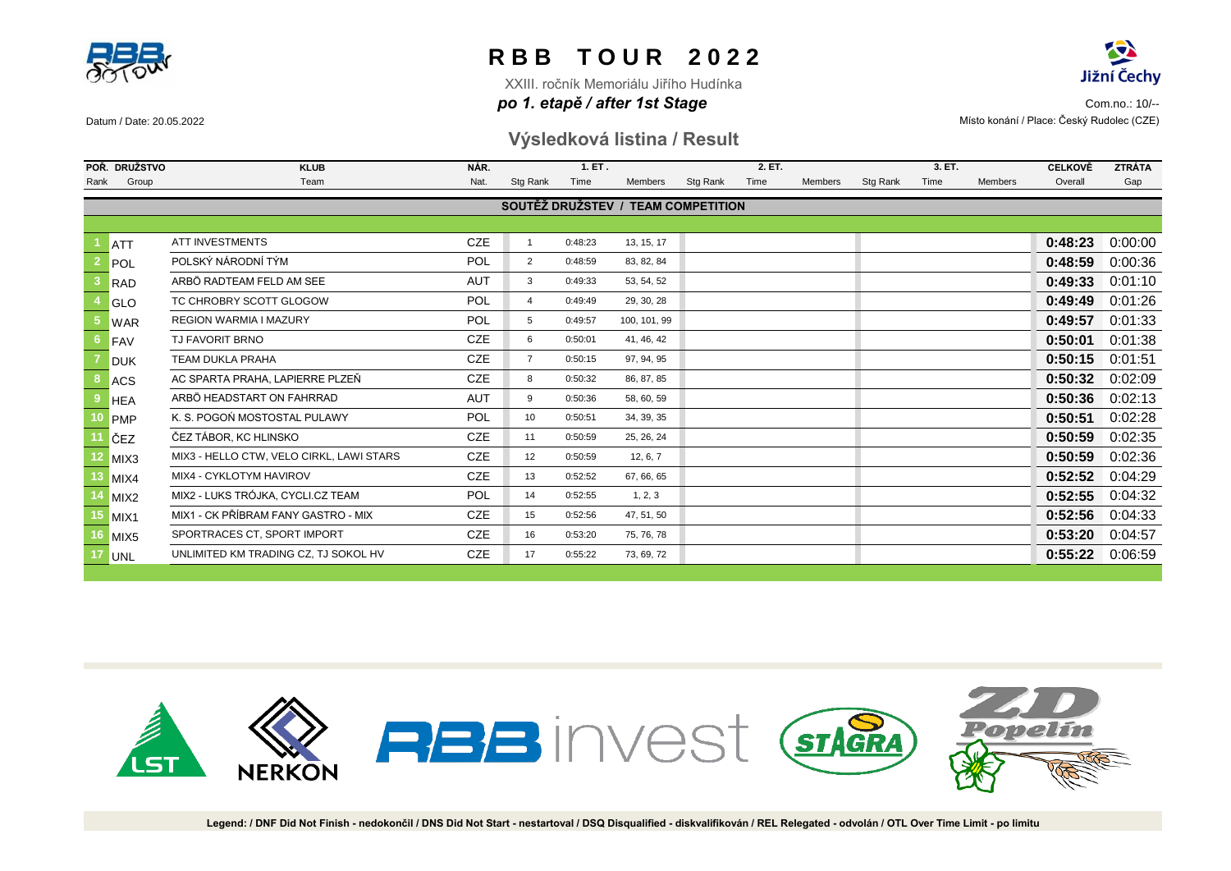



XXIII. ročník Memoriálu Jiřího Hudínka

**po 1. etapě / after 1st Stage and the community of the community of the community of the community of the community of the community of**  $\mathcal{P}$ Datum / Date: 20.05.2022 Místo konání / Place: Český Rudolec (CZE)

### **Výsledková listina / Result**

|      | POŘ. DRUŽSTVO    | <b>KLUB</b>                              | NÁR.       |                | 1. ET.  |                                    |          | 2. ET. |         | 3. ET.   |      |         | <b>CELKOVĚ</b> | <b>ZTRÁTA</b> |
|------|------------------|------------------------------------------|------------|----------------|---------|------------------------------------|----------|--------|---------|----------|------|---------|----------------|---------------|
| Rank | Group            | Team                                     | Nat.       | Stg Rank       | Time    | Members                            | Stg Rank | Time   | Members | Stg Rank | Time | Members | Overall        | Gap           |
|      |                  |                                          |            |                |         | SOUTĚŽ DRUŽSTEV / TEAM COMPETITION |          |        |         |          |      |         |                |               |
|      |                  |                                          |            |                |         |                                    |          |        |         |          |      |         |                |               |
|      | <b>ATT</b>       | <b>ATT INVESTMENTS</b>                   | <b>CZE</b> |                | 0:48:23 | 13, 15, 17                         |          |        |         |          |      |         | 0:48:23        | 0:00:00       |
|      | POL              | POLSKÝ NÁRODNÍ TÝM                       | <b>POL</b> | $\overline{2}$ | 0:48:59 | 83, 82, 84                         |          |        |         |          |      |         | 0:48:59        | 0:00:36       |
|      | <b>RAD</b>       | ARBÖ RADTEAM FELD AM SEE                 | <b>AUT</b> | 3              | 0:49:33 | 53, 54, 52                         |          |        |         |          |      |         | 0:49:33        | 0:01:10       |
|      | GLO              | TC CHROBRY SCOTT GLOGOW                  | <b>POL</b> | $\overline{4}$ | 0:49:49 | 29, 30, 28                         |          |        |         |          |      |         | 0:49:49        | 0:01:26       |
|      | <b>WAR</b>       | <b>REGION WARMIA I MAZURY</b>            | <b>POL</b> | 5              | 0:49:57 | 100, 101, 99                       |          |        |         |          |      |         | 0:49:57        | 0:01:33       |
|      | FAV              | <b>TJ FAVORIT BRNO</b>                   | <b>CZE</b> | 6              | 0:50:01 | 41, 46, 42                         |          |        |         |          |      |         | 0:50:01        | 0:01:38       |
|      | <b>DUK</b>       | <b>TEAM DUKLA PRAHA</b>                  | <b>CZE</b> | $\overline{7}$ | 0:50:15 | 97, 94, 95                         |          |        |         |          |      |         | 0:50:15        | 0:01:51       |
|      | <b>ACS</b>       | AC SPARTA PRAHA. LAPIERRE PLZEŇ          | <b>CZE</b> | 8              | 0:50:32 | 86, 87, 85                         |          |        |         |          |      |         | 0:50:32        | 0:02:09       |
|      | <b>HEA</b>       | ARBÖ HEADSTART ON FAHRRAD                | <b>AUT</b> | 9              | 0:50:36 | 58, 60, 59                         |          |        |         |          |      |         | 0:50:36        | 0:02:13       |
|      | <b>PMP</b>       | K. S. POGOŃ MOSTOSTAL PULAWY             | <b>POL</b> | 10             | 0:50:51 | 34, 39, 35                         |          |        |         |          |      |         | 0:50:51        | 0:02:28       |
|      | ČEZ              | ČEZ TÁBOR. KC HLINSKO                    | <b>CZE</b> | 11             | 0:50:59 | 25, 26, 24                         |          |        |         |          |      |         | 0:50:59        | 0:02:35       |
|      | MIX <sub>3</sub> | MIX3 - HELLO CTW. VELO CIRKL. LAWI STARS | <b>CZE</b> | 12             | 0:50:59 | 12, 6, 7                           |          |        |         |          |      |         | 0:50:59        | 0:02:36       |
|      | MIX4             | MIX4 - CYKLOTYM HAVIROV                  | <b>CZE</b> | 13             | 0:52:52 | 67, 66, 65                         |          |        |         |          |      |         | 0:52:52        | 0:04:29       |
|      | MIX <sub>2</sub> | MIX2 - LUKS TRÓJKA, CYCLI.CZ TEAM        | <b>POL</b> | 14             | 0:52:55 | 1, 2, 3                            |          |        |         |          |      |         | 0:52:55        | 0:04:32       |
|      | MIX <sub>1</sub> | MIX1 - CK PŘÍBRAM FANY GASTRO - MIX      | <b>CZE</b> | 15             | 0:52:56 | 47, 51, 50                         |          |        |         |          |      |         | 0:52:56        | 0:04:33       |
|      | MIX <sub>5</sub> | SPORTRACES CT, SPORT IMPORT              | <b>CZE</b> | 16             | 0:53:20 | 75, 76, 78                         |          |        |         |          |      |         | 0:53:20        | 0:04:57       |
|      | <b>UNL</b>       | UNLIMITED KM TRADING CZ, TJ SOKOL HV     | <b>CZE</b> | 17             | 0:55:22 | 73, 69, 72                         |          |        |         |          |      |         | 0:55:22        | 0:06:59       |